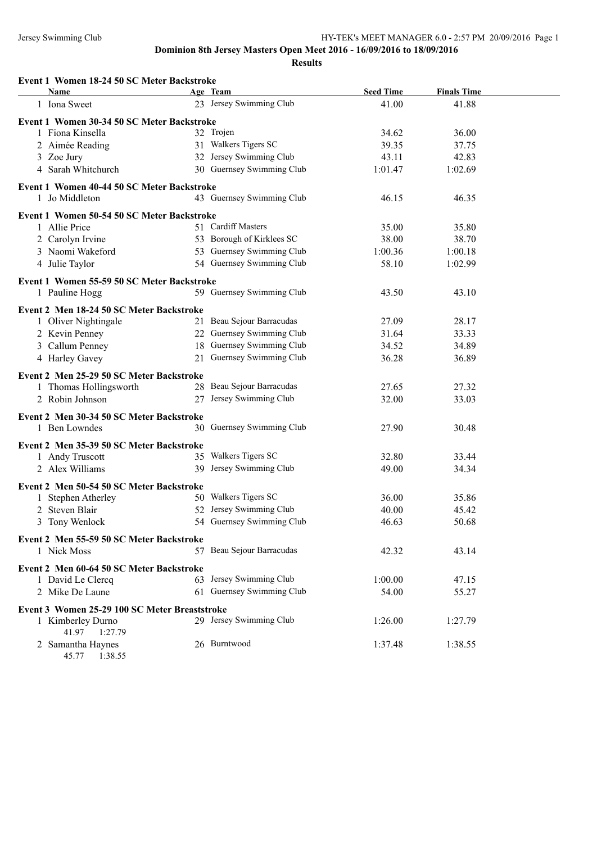| Event 1 Women 18-24 50 SC Meter Backstroke                     |                                     |                           |                             |  |
|----------------------------------------------------------------|-------------------------------------|---------------------------|-----------------------------|--|
| <b>Name</b><br>1 Iona Sweet                                    | Age Team<br>23 Jersey Swimming Club | <b>Seed Time</b><br>41.00 | <b>Finals Time</b><br>41.88 |  |
|                                                                |                                     |                           |                             |  |
| Event 1 Women 30-34 50 SC Meter Backstroke                     |                                     |                           |                             |  |
| 1 Fiona Kinsella                                               | 32 Trojen                           | 34.62                     | 36.00                       |  |
| 2 Aimée Reading                                                | 31 Walkers Tigers SC                | 39.35                     | 37.75                       |  |
| 3 Zoe Jury                                                     | 32 Jersey Swimming Club             | 43.11                     | 42.83                       |  |
| 4 Sarah Whitchurch                                             | 30 Guernsey Swimming Club           | 1:01.47                   | 1:02.69                     |  |
| Event 1 Women 40-44 50 SC Meter Backstroke                     |                                     |                           |                             |  |
| 1 Jo Middleton                                                 | 43 Guernsey Swimming Club           | 46.15                     | 46.35                       |  |
| Event 1 Women 50-54 50 SC Meter Backstroke                     |                                     |                           |                             |  |
| 1 Allie Price                                                  | 51 Cardiff Masters                  | 35.00                     | 35.80                       |  |
| 2 Carolyn Irvine                                               | 53 Borough of Kirklees SC           | 38.00                     | 38.70                       |  |
| 3 Naomi Wakeford                                               | 53 Guernsey Swimming Club           | 1:00.36                   | 1:00.18                     |  |
| 4 Julie Taylor                                                 | 54 Guernsey Swimming Club           | 58.10                     | 1:02.99                     |  |
| Event 1 Women 55-59 50 SC Meter Backstroke                     |                                     |                           |                             |  |
| 1 Pauline Hogg                                                 | 59 Guernsey Swimming Club           | 43.50                     | 43.10                       |  |
|                                                                |                                     |                           |                             |  |
| Event 2 Men 18-24 50 SC Meter Backstroke                       | 21 Beau Sejour Barracudas           | 27.09                     | 28.17                       |  |
| 1 Oliver Nightingale<br>2 Kevin Penney                         | 22 Guernsey Swimming Club           | 31.64                     | 33.33                       |  |
| 3 Callum Penney                                                | 18 Guernsey Swimming Club           | 34.52                     | 34.89                       |  |
| 4 Harley Gavey                                                 | 21 Guernsey Swimming Club           | 36.28                     | 36.89                       |  |
|                                                                |                                     |                           |                             |  |
| Event 2 Men 25-29 50 SC Meter Backstroke                       |                                     |                           |                             |  |
| 1 Thomas Hollingsworth                                         | 28 Beau Sejour Barracudas           | 27.65                     | 27.32                       |  |
| 2 Robin Johnson                                                | 27 Jersey Swimming Club             | 32.00                     | 33.03                       |  |
| Event 2 Men 30-34 50 SC Meter Backstroke                       |                                     |                           |                             |  |
| 1 Ben Lowndes                                                  | 30 Guernsey Swimming Club           | 27.90                     | 30.48                       |  |
| Event 2 Men 35-39 50 SC Meter Backstroke                       |                                     |                           |                             |  |
| 1 Andy Truscott                                                | 35 Walkers Tigers SC                | 32.80                     | 33.44                       |  |
| 2 Alex Williams                                                | 39 Jersey Swimming Club             | 49.00                     | 34.34                       |  |
|                                                                |                                     |                           |                             |  |
| Event 2 Men 50-54 50 SC Meter Backstroke<br>1 Stephen Atherley | 50 Walkers Tigers SC                | 36.00                     | 35.86                       |  |
| 2 Steven Blair                                                 | 52 Jersey Swimming Club             | 40.00                     | 45.42                       |  |
| 3 Tony Wenlock                                                 | 54 Guernsey Swimming Club           | 46.63                     | 50.68                       |  |
|                                                                |                                     |                           |                             |  |
| Event 2 Men 55-59 50 SC Meter Backstroke                       | 57 Beau Sejour Barracudas           |                           |                             |  |
| 1 Nick Moss                                                    |                                     | 42.32                     | 43.14                       |  |
| Event 2 Men 60-64 50 SC Meter Backstroke                       |                                     |                           |                             |  |
| 1 David Le Clercq                                              | 63 Jersey Swimming Club             | 1:00.00                   | 47.15                       |  |
| 2 Mike De Laune                                                | 61 Guernsey Swimming Club           | 54.00                     | 55.27                       |  |
| Event 3 Women 25-29 100 SC Meter Breaststroke                  |                                     |                           |                             |  |
| 1 Kimberley Durno                                              | 29 Jersey Swimming Club             | 1:26.00                   | 1:27.79                     |  |
| 41.97<br>1:27.79                                               |                                     |                           |                             |  |
| 2 Samantha Haynes<br>45.77  1:38.55                            | 26 Burntwood                        | 1:37.48                   | 1:38.55                     |  |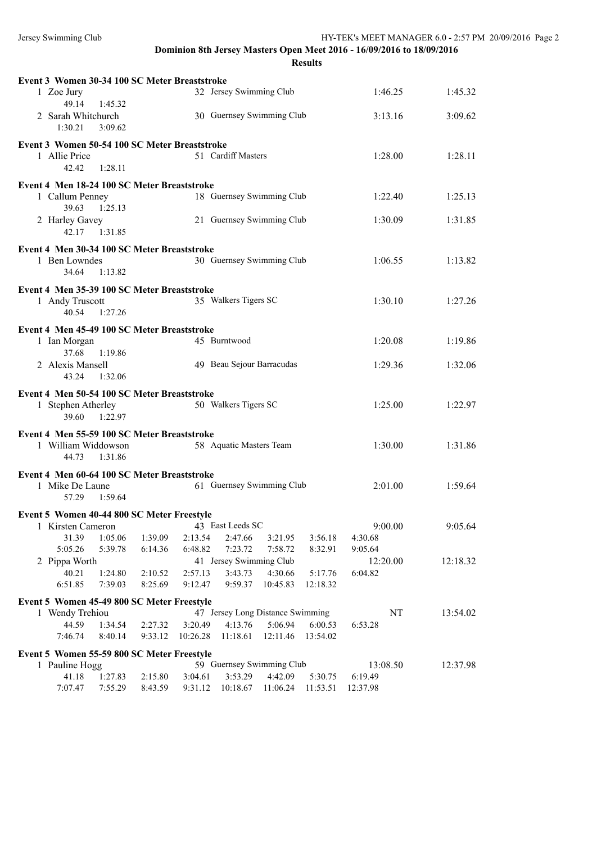| Event 3 Women 30-34 100 SC Meter Breaststroke |         |          |                                      |          |          |                     |          |
|-----------------------------------------------|---------|----------|--------------------------------------|----------|----------|---------------------|----------|
| 1 Zoe Jury                                    |         |          | 32 Jersey Swimming Club              |          |          | 1:46.25             | 1:45.32  |
| 49.14<br>1:45.32                              |         |          |                                      |          |          |                     |          |
| 2 Sarah Whitchurch                            |         |          | 30 Guernsey Swimming Club            |          |          | 3:13.16             | 3:09.62  |
| 1:30.21<br>3:09.62                            |         |          |                                      |          |          |                     |          |
| Event 3 Women 50-54 100 SC Meter Breaststroke |         |          |                                      |          |          |                     |          |
| 1 Allie Price                                 |         |          | 51 Cardiff Masters                   |          |          | 1:28.00             | 1:28.11  |
| 42.42<br>1:28.11                              |         |          |                                      |          |          |                     |          |
| Event 4 Men 18-24 100 SC Meter Breaststroke   |         |          |                                      |          |          |                     |          |
| 1 Callum Penney                               |         |          | 18 Guernsey Swimming Club            |          |          | 1:22.40             | 1:25.13  |
| 39.63<br>1:25.13                              |         |          |                                      |          |          |                     |          |
| 2 Harley Gavey                                |         |          | 21 Guernsey Swimming Club            |          |          | 1:30.09             | 1:31.85  |
| 42.17 1:31.85                                 |         |          |                                      |          |          |                     |          |
| Event 4 Men 30-34 100 SC Meter Breaststroke   |         |          |                                      |          |          |                     |          |
| 1 Ben Lowndes                                 |         |          | 30 Guernsey Swimming Club            |          |          | 1:06.55             | 1:13.82  |
| 34.64<br>1:13.82                              |         |          |                                      |          |          |                     |          |
| Event 4 Men 35-39 100 SC Meter Breaststroke   |         |          |                                      |          |          |                     |          |
| 1 Andy Truscott                               |         |          | 35 Walkers Tigers SC                 |          |          | 1:30.10             | 1:27.26  |
| 40.54 1:27.26                                 |         |          |                                      |          |          |                     |          |
| Event 4 Men 45-49 100 SC Meter Breaststroke   |         |          |                                      |          |          |                     |          |
| 1 Ian Morgan                                  |         |          | 45 Burntwood                         |          |          | 1:20.08             | 1:19.86  |
| 37.68<br>1:19.86                              |         |          |                                      |          |          |                     |          |
| 2 Alexis Mansell                              |         |          | 49 Beau Sejour Barracudas            |          |          | 1:29.36             | 1:32.06  |
| 43.24 1:32.06                                 |         |          |                                      |          |          |                     |          |
|                                               |         |          |                                      |          |          |                     |          |
| Event 4 Men 50-54 100 SC Meter Breaststroke   |         |          |                                      |          |          |                     |          |
| 1 Stephen Atherley                            |         |          | 50 Walkers Tigers SC                 |          |          | 1:25.00             | 1:22.97  |
| 39.60<br>1:22.97                              |         |          |                                      |          |          |                     |          |
| Event 4 Men 55-59 100 SC Meter Breaststroke   |         |          |                                      |          |          |                     |          |
| 1 William Widdowson                           |         |          | 58 Aquatic Masters Team              |          |          | 1:30.00             | 1:31.86  |
| 1:31.86<br>44.73                              |         |          |                                      |          |          |                     |          |
| Event 4 Men 60-64 100 SC Meter Breaststroke   |         |          |                                      |          |          |                     |          |
| 1 Mike De Laune                               |         |          | 61 Guernsey Swimming Club            |          |          | 2:01.00             | 1:59.64  |
| 57.29<br>1:59.64                              |         |          |                                      |          |          |                     |          |
| Event 5 Women 40-44 800 SC Meter Freestyle    |         |          |                                      |          |          |                     |          |
| 1 Kirsten Cameron                             |         |          | 43 East Leeds SC                     |          |          | 9:00.00             | 9:05.64  |
| 31.39<br>1:05.06                              | 1:39.09 | 2:13.54  | 2:47.66                              | 3:21.95  | 3:56.18  | 4:30.68             |          |
| 5:05.26<br>5:39.78                            | 6:14.36 | 6:48.82  | 7:23.72                              | 7:58.72  | 8:32.91  | 9:05.64             |          |
| 2 Pippa Worth                                 |         |          | 41 Jersey Swimming Club              |          |          | 12:20.00            | 12:18.32 |
| 40.21<br>1:24.80                              | 2:10.52 | 2:57.13  | 3:43.73                              | 4:30.66  | 5:17.76  | 6:04.82             |          |
| 6:51.85<br>7:39.03                            | 8:25.69 | 9:12.47  | 9:59.37                              | 10:45.83 | 12:18.32 |                     |          |
| Event 5 Women 45-49 800 SC Meter Freestyle    |         |          |                                      |          |          |                     |          |
| 1 Wendy Trehiou                               |         |          | 47 Jersey Long Distance Swimming     |          |          | NT                  | 13:54.02 |
| 44.59<br>1:34.54                              | 2:27.32 | 3:20.49  | 4:13.76                              | 5:06.94  | 6:00.53  | 6:53.28             |          |
| 7:46.74<br>8:40.14                            | 9:33.12 | 10:26.28 | 11:18.61                             | 12:11.46 | 13:54.02 |                     |          |
| Event 5 Women 55-59 800 SC Meter Freestyle    |         |          |                                      |          |          |                     |          |
| 1 Pauline Hogg<br>41.18<br>1:27.83            | 2:15.80 | 3:04.61  | 59 Guernsey Swimming Club<br>3:53.29 | 4:42.09  | 5:30.75  | 13:08.50<br>6:19.49 | 12:37.98 |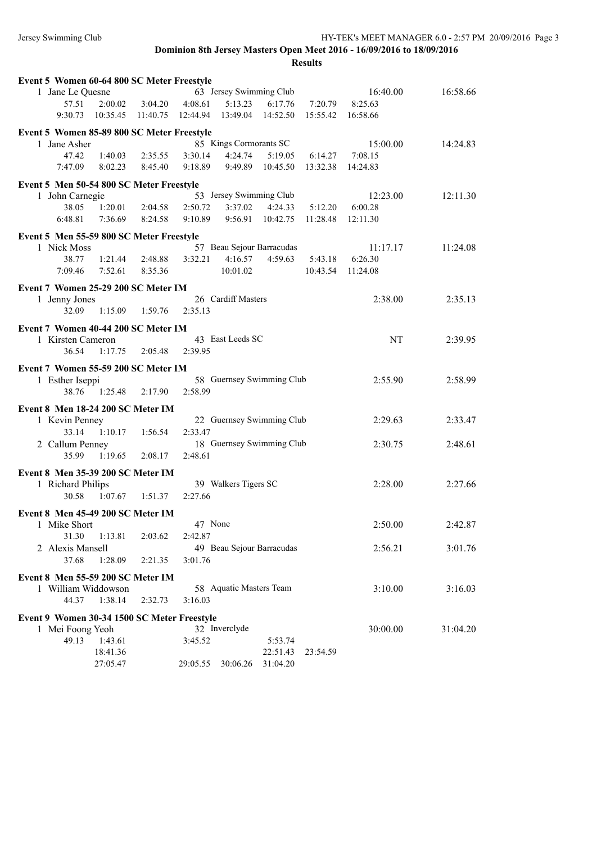| Event 5 Women 60-64 800 SC Meter Freestyle  |                   |                     |          |          |                           |                           |          |          |          |
|---------------------------------------------|-------------------|---------------------|----------|----------|---------------------------|---------------------------|----------|----------|----------|
|                                             | 1 Jane Le Quesne  |                     |          |          | 63 Jersey Swimming Club   |                           |          | 16:40.00 | 16:58.66 |
|                                             | 57.51             | 2:00.02             | 3:04.20  | 4:08.61  | 5:13.23                   | 6:17.76                   | 7:20.79  | 8:25.63  |          |
|                                             | 9:30.73           | 10:35.45            | 11:40.75 | 12:44.94 | 13:49.04                  | 14:52.50                  | 15:55.42 | 16:58.66 |          |
| Event 5 Women 85-89 800 SC Meter Freestyle  |                   |                     |          |          |                           |                           |          |          |          |
|                                             | 1 Jane Asher      |                     |          |          | 85 Kings Cormorants SC    |                           |          | 15:00.00 | 14:24.83 |
|                                             | 47.42             | 1:40.03             | 2:35.55  | 3:30.14  | 4:24.74                   | 5:19.05                   | 6:14.27  | 7:08.15  |          |
|                                             | 7:47.09           | 8:02.23             | 8:45.40  | 9:18.89  | 9:49.89                   | 10:45.50                  | 13:32.38 | 14:24.83 |          |
| Event 5 Men 50-54 800 SC Meter Freestyle    |                   |                     |          |          |                           |                           |          |          |          |
|                                             | 1 John Carnegie   |                     |          |          | 53 Jersey Swimming Club   |                           |          | 12:23.00 | 12:11.30 |
|                                             | 38.05             | 1:20.01             | 2:04.58  | 2:50.72  | 3:37.02                   | 4:24.33                   | 5:12.20  | 6:00.28  |          |
|                                             | 6:48.81           | 7:36.69             | 8:24.58  | 9:10.89  | 9:56.91                   | 10:42.75                  | 11:28.48 | 12:11.30 |          |
| Event 5 Men 55-59 800 SC Meter Freestyle    |                   |                     |          |          |                           |                           |          |          |          |
|                                             | 1 Nick Moss       |                     |          |          | 57 Beau Sejour Barracudas |                           |          | 11:17.17 | 11:24.08 |
|                                             | 38.77             | 1:21.44             | 2:48.88  | 3:32.21  | 4:16.57                   | 4:59.63                   | 5:43.18  | 6:26.30  |          |
|                                             | 7:09.46           | 7:52.61             | 8:35.36  |          | 10:01.02                  |                           | 10:43.54 | 11:24.08 |          |
| Event 7 Women 25-29 200 SC Meter IM         |                   |                     |          |          |                           |                           |          |          |          |
|                                             | 1 Jenny Jones     |                     |          |          | 26 Cardiff Masters        |                           |          | 2:38.00  | 2:35.13  |
|                                             | 32.09             | 1:15.09             | 1:59.76  | 2:35.13  |                           |                           |          |          |          |
| Event 7 Women 40-44 200 SC Meter IM         |                   |                     |          |          |                           |                           |          |          |          |
|                                             | 1 Kirsten Cameron |                     |          |          | 43 East Leeds SC          |                           |          | NT       | 2:39.95  |
|                                             | 36.54             | 1:17.75             | 2:05.48  | 2:39.95  |                           |                           |          |          |          |
| Event 7 Women 55-59 200 SC Meter IM         |                   |                     |          |          |                           |                           |          |          |          |
|                                             | 1 Esther Iseppi   |                     |          |          |                           | 58 Guernsey Swimming Club |          | 2:55.90  | 2:58.99  |
|                                             | 38.76             | 1:25.48             | 2:17.90  | 2:58.99  |                           |                           |          |          |          |
| Event 8 Men 18-24 200 SC Meter IM           |                   |                     |          |          |                           |                           |          |          |          |
|                                             | 1 Kevin Penney    |                     |          |          |                           | 22 Guernsey Swimming Club |          | 2:29.63  | 2:33.47  |
|                                             | 33.14             | 1:10.17             | 1:56.54  | 2:33.47  |                           |                           |          |          |          |
|                                             | 2 Callum Penney   |                     |          |          |                           | 18 Guernsey Swimming Club |          | 2:30.75  | 2:48.61  |
|                                             | 35.99             | 1:19.65             | 2:08.17  | 2:48.61  |                           |                           |          |          |          |
| Event 8 Men 35-39 200 SC Meter IM           |                   |                     |          |          |                           |                           |          |          |          |
|                                             | 1 Richard Philips |                     |          |          | 39 Walkers Tigers SC      |                           |          | 2:28.00  | 2:27.66  |
|                                             | 30.58             | 1:07.67             | 1:51.37  | 2:27.66  |                           |                           |          |          |          |
| Event 8 Men 45-49 200 SC Meter IM           |                   |                     |          |          |                           |                           |          |          |          |
|                                             | 1 Mike Short      |                     |          | 47 None  |                           |                           |          | 2:50.00  | 2:42.87  |
|                                             | 31.30             | 1:13.81             | 2:03.62  | 2:42.87  |                           |                           |          |          |          |
|                                             | 2 Alexis Mansell  |                     |          |          | 49 Beau Sejour Barracudas |                           |          | 2:56.21  | 3:01.76  |
|                                             | 37.68             | 1:28.09             | 2:21.35  | 3:01.76  |                           |                           |          |          |          |
| Event 8 Men 55-59 200 SC Meter IM           |                   |                     |          |          |                           |                           |          |          |          |
|                                             |                   | 1 William Widdowson |          |          | 58 Aquatic Masters Team   |                           |          | 3:10.00  | 3:16.03  |
|                                             | 44.37             | 1:38.14             | 2:32.73  | 3:16.03  |                           |                           |          |          |          |
| Event 9 Women 30-34 1500 SC Meter Freestyle |                   |                     |          |          |                           |                           |          |          |          |
|                                             | 1 Mei Foong Yeoh  |                     |          |          | 32 Inverclyde             |                           |          | 30:00.00 | 31:04.20 |
|                                             | 49.13             | 1:43.61             |          | 3:45.52  |                           | 5:53.74                   |          |          |          |
|                                             |                   | 18:41.36            |          |          |                           | 22:51.43                  | 23:54.59 |          |          |
|                                             |                   | 27:05.47            |          | 29:05.55 | 30:06.26                  | 31:04.20                  |          |          |          |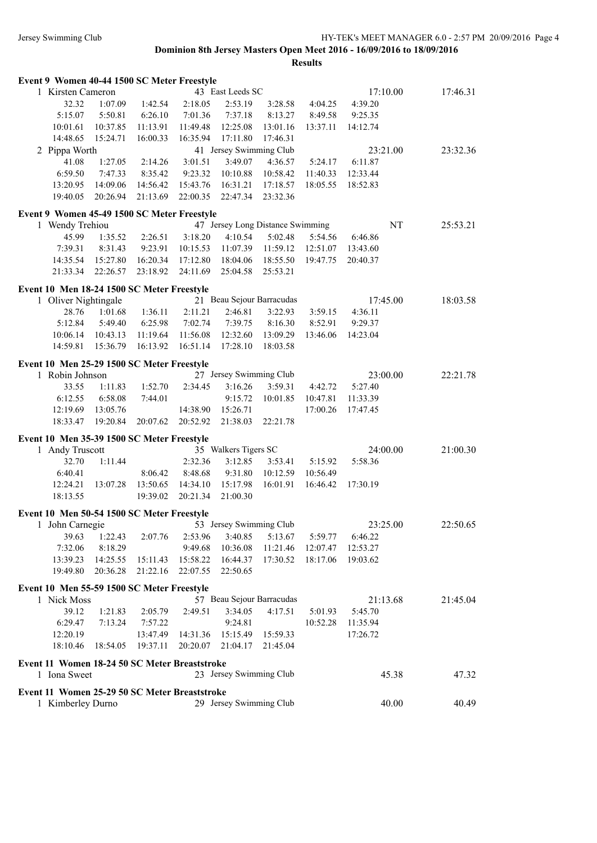| Event 9 Women 40-44 1500 SC Meter Freestyle   |          |          |                              |                           |                                  |                    |          |       |          |
|-----------------------------------------------|----------|----------|------------------------------|---------------------------|----------------------------------|--------------------|----------|-------|----------|
| 1 Kirsten Cameron                             |          |          |                              | 43 East Leeds SC          |                                  |                    | 17:10.00 |       | 17:46.31 |
| 32.32                                         | 1:07.09  | 1:42.54  | 2:18.05                      | 2:53.19                   | 3:28.58                          | 4:04.25            | 4:39.20  |       |          |
| 5:15.07                                       | 5:50.81  | 6:26.10  | 7:01.36                      | 7:37.18                   | 8:13.27                          | 8:49.58            | 9:25.35  |       |          |
| 10:01.61                                      | 10:37.85 | 11:13.91 | 11:49.48                     | 12:25.08                  | 13:01.16                         | 13:37.11           | 14:12.74 |       |          |
| 14:48.65                                      | 15:24.71 | 16:00.33 | 16:35.94                     | 17:11.80                  | 17:46.31                         |                    |          |       |          |
| 2 Pippa Worth                                 |          |          |                              | 41 Jersey Swimming Club   |                                  |                    | 23:21.00 |       | 23:32.36 |
| 41.08                                         | 1:27.05  | 2:14.26  | 3:01.51                      | 3:49.07                   | 4:36.57                          | 5:24.17            | 6:11.87  |       |          |
| 6:59.50                                       | 7:47.33  | 8:35.42  | 9:23.32                      | 10:10.88                  | 10:58.42                         | 11:40.33           | 12:33.44 |       |          |
| 13:20.95                                      | 14:09.06 | 14:56.42 | 15:43.76                     | 16:31.21                  | 17:18.57                         | 18:05.55           | 18:52.83 |       |          |
| 19:40.05                                      | 20:26.94 | 21:13.69 | 22:00.35                     | 22:47.34                  | 23:32.36                         |                    |          |       |          |
|                                               |          |          |                              |                           |                                  |                    |          |       |          |
| Event 9 Women 45-49 1500 SC Meter Freestyle   |          |          |                              |                           |                                  |                    |          |       |          |
| 1 Wendy Trehiou                               |          |          |                              |                           | 47 Jersey Long Distance Swimming |                    |          | NT    | 25:53.21 |
| 45.99                                         | 1:35.52  | 2:26.51  | 3:18.20                      | 4:10.54                   | 5:02.48                          | 5:54.56            | 6:46.86  |       |          |
| 7:39.31                                       | 8:31.43  | 9:23.91  | 10:15.53                     | 11:07.39                  | 11:59.12                         | 12:51.07           | 13:43.60 |       |          |
| 14:35.54                                      | 15:27.80 | 16:20.34 | 17:12.80                     | 18:04.06                  | 18:55.50                         | 19:47.75           | 20:40.37 |       |          |
| 21:33.34                                      | 22:26.57 | 23:18.92 | 24:11.69                     | 25:04.58                  | 25:53.21                         |                    |          |       |          |
| Event 10 Men 18-24 1500 SC Meter Freestyle    |          |          |                              |                           |                                  |                    |          |       |          |
| 1 Oliver Nightingale                          |          |          |                              | 21 Beau Sejour Barracudas |                                  |                    | 17:45.00 |       | 18:03.58 |
| 28.76                                         | 1:01.68  | 1:36.11  | 2:11.21                      | 2:46.81                   | 3:22.93                          | 3:59.15            | 4:36.11  |       |          |
| 5:12.84                                       | 5:49.40  | 6:25.98  | 7:02.74                      | 7:39.75                   | 8:16.30                          | 8:52.91            | 9:29.37  |       |          |
| 10:06.14                                      | 10:43.13 | 11:19.64 | 11:56.08                     | 12:32.60                  | 13:09.29                         | 13:46.06           | 14:23.04 |       |          |
| 14:59.81                                      | 15:36.79 | 16:13.92 | 16:51.14                     | 17:28.10                  | 18:03.58                         |                    |          |       |          |
|                                               |          |          |                              |                           |                                  |                    |          |       |          |
| Event 10 Men 25-29 1500 SC Meter Freestyle    |          |          |                              |                           |                                  |                    |          |       |          |
| 1 Robin Johnson                               |          |          |                              | 27 Jersey Swimming Club   |                                  |                    | 23:00.00 |       | 22:21.78 |
| 33.55                                         | 1:11.83  | 1:52.70  | 2:34.45                      | 3:16.26                   | 3:59.31                          | 4:42.72            | 5:27.40  |       |          |
| 6:12.55                                       | 6:58.08  | 7:44.01  |                              | 9:15.72                   | 10:01.85                         | 10:47.81           | 11:33.39 |       |          |
| 12:19.69                                      | 13:05.76 |          | 14:38.90                     | 15:26.71                  |                                  | 17:00.26           | 17:47.45 |       |          |
| 18:33.47                                      | 19:20.84 | 20:07.62 | 20:52.92                     | 21:38.03                  | 22:21.78                         |                    |          |       |          |
| Event 10 Men 35-39 1500 SC Meter Freestyle    |          |          |                              |                           |                                  |                    |          |       |          |
| 1 Andy Truscott                               |          |          |                              | 35 Walkers Tigers SC      |                                  |                    | 24:00.00 |       | 21:00.30 |
| 32.70                                         | 1:11.44  |          | 2:32.36                      | 3:12.85                   | 3:53.41                          | 5:15.92            | 5:58.36  |       |          |
| 6:40.41                                       |          | 8:06.42  | 8:48.68                      | 9:31.80                   | 10:12.59                         | 10:56.49           |          |       |          |
| 12:24.21                                      | 13:07.28 | 13:50.65 | 14:34.10                     | 15:17.98                  | 16:01.91                         | 16:46.42           | 17:30.19 |       |          |
| 18:13.55                                      |          | 19:39.02 | 20:21.34                     | 21:00.30                  |                                  |                    |          |       |          |
|                                               |          |          |                              |                           |                                  |                    |          |       |          |
| Event 10 Men 50-54 1500 SC Meter Freestyle    |          |          |                              |                           |                                  |                    |          |       |          |
| 1 John Carnegie                               |          |          | 53 Jersey Swimming Club      |                           |                                  |                    | 23:25.00 |       | 22:50.65 |
| 39.63                                         | 1:22.43  | 2:07.76  | 2:53.96                      | 3:40.85                   | 5:13.67                          | 5:59.77            | 6:46.22  |       |          |
| 7:32.06                                       | 8:18.29  |          |                              | 9:49.68 10:36.08          |                                  | 11:21.46  12:07.47 | 12:53.27 |       |          |
| 13:39.23                                      | 14:25.55 | 15:11.43 | 15:58.22                     | 16:44.37                  | 17:30.52                         | 18:17.06           | 19:03.62 |       |          |
| 19:49.80                                      | 20:36.28 | 21:22.16 | 22:07.55                     | 22:50.65                  |                                  |                    |          |       |          |
| Event 10 Men 55-59 1500 SC Meter Freestyle    |          |          |                              |                           |                                  |                    |          |       |          |
| 1 Nick Moss                                   |          |          |                              | 57 Beau Sejour Barracudas |                                  |                    | 21:13.68 |       | 21:45.04 |
| 39.12                                         | 1:21.83  | 2:05.79  | 2:49.51                      | 3:34.05                   | 4:17.51                          | 5:01.93            | 5:45.70  |       |          |
| 6:29.47                                       | 7:13.24  | 7:57.22  |                              | 9:24.81                   |                                  | 10:52.28           | 11:35.94 |       |          |
| 12:20.19                                      |          | 13:47.49 | 14:31.36  15:15.49  15:59.33 |                           |                                  |                    | 17:26.72 |       |          |
| 18:10.46                                      | 18:54.05 | 19:37.11 | 20:20.07                     | 21:04.17                  | 21:45.04                         |                    |          |       |          |
|                                               |          |          |                              |                           |                                  |                    |          |       |          |
| Event 11 Women 18-24 50 SC Meter Breaststroke |          |          |                              |                           |                                  |                    |          |       |          |
| 1 Iona Sweet                                  |          |          |                              | 23 Jersey Swimming Club   |                                  |                    |          | 45.38 | 47.32    |
| Event 11 Women 25-29 50 SC Meter Breaststroke |          |          |                              |                           |                                  |                    |          |       |          |
| 1 Kimberley Durno                             |          |          |                              | 29 Jersey Swimming Club   |                                  |                    |          | 40.00 | 40.49    |
|                                               |          |          |                              |                           |                                  |                    |          |       |          |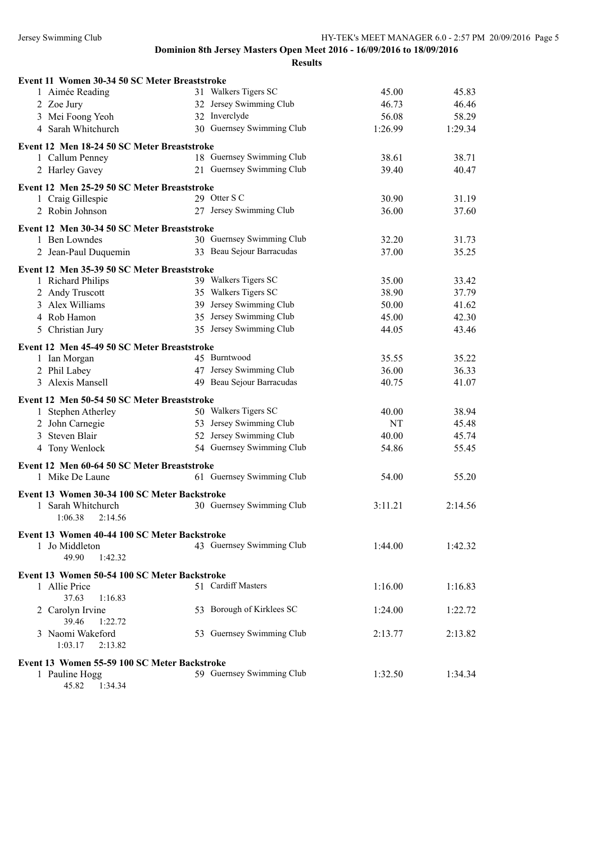| Event 11 Women 30-34 50 SC Meter Breaststroke                      |                           |         |         |
|--------------------------------------------------------------------|---------------------------|---------|---------|
| 1 Aimée Reading                                                    | 31 Walkers Tigers SC      | 45.00   | 45.83   |
| 2 Zoe Jury                                                         | 32 Jersey Swimming Club   | 46.73   | 46.46   |
| 3 Mei Foong Yeoh                                                   | 32 Inverclyde             | 56.08   | 58.29   |
| 4 Sarah Whitchurch                                                 | 30 Guernsey Swimming Club | 1:26.99 | 1:29.34 |
| Event 12 Men 18-24 50 SC Meter Breaststroke                        |                           |         |         |
| 1 Callum Penney                                                    | 18 Guernsey Swimming Club | 38.61   | 38.71   |
| 2 Harley Gavey                                                     | 21 Guernsey Swimming Club | 39.40   | 40.47   |
|                                                                    |                           |         |         |
| Event 12 Men 25-29 50 SC Meter Breaststroke                        |                           |         |         |
| 1 Craig Gillespie                                                  | 29 Otter S C              | 30.90   | 31.19   |
| 2 Robin Johnson                                                    | 27 Jersey Swimming Club   | 36.00   | 37.60   |
| Event 12 Men 30-34 50 SC Meter Breaststroke                        |                           |         |         |
| 1 Ben Lowndes                                                      | 30 Guernsey Swimming Club | 32.20   | 31.73   |
| 2 Jean-Paul Duquemin                                               | 33 Beau Sejour Barracudas | 37.00   | 35.25   |
| Event 12 Men 35-39 50 SC Meter Breaststroke                        |                           |         |         |
| 1 Richard Philips                                                  | 39 Walkers Tigers SC      | 35.00   | 33.42   |
| 2 Andy Truscott                                                    | 35 Walkers Tigers SC      | 38.90   | 37.79   |
| 3 Alex Williams                                                    | 39 Jersey Swimming Club   | 50.00   | 41.62   |
| 4 Rob Hamon                                                        | 35 Jersey Swimming Club   | 45.00   | 42.30   |
| 5 Christian Jury                                                   | 35 Jersey Swimming Club   | 44.05   | 43.46   |
|                                                                    |                           |         |         |
| Event 12 Men 45-49 50 SC Meter Breaststroke                        | 45 Burntwood              |         |         |
| 1 Ian Morgan                                                       | 47 Jersey Swimming Club   | 35.55   | 35.22   |
| 2 Phil Labey<br>3 Alexis Mansell                                   | 49 Beau Sejour Barracudas | 36.00   | 36.33   |
|                                                                    |                           | 40.75   | 41.07   |
| Event 12 Men 50-54 50 SC Meter Breaststroke                        |                           |         |         |
| 1 Stephen Atherley                                                 | 50 Walkers Tigers SC      | 40.00   | 38.94   |
| 2 John Carnegie                                                    | 53 Jersey Swimming Club   | NT      | 45.48   |
| 3 Steven Blair                                                     | 52 Jersey Swimming Club   | 40.00   | 45.74   |
| 4 Tony Wenlock                                                     | 54 Guernsey Swimming Club | 54.86   | 55.45   |
| Event 12 Men 60-64 50 SC Meter Breaststroke                        |                           |         |         |
| 1 Mike De Laune                                                    | 61 Guernsey Swimming Club | 54.00   | 55.20   |
|                                                                    |                           |         |         |
| Event 13 Women 30-34 100 SC Meter Backstroke<br>1 Sarah Whitchurch | 30 Guernsey Swimming Club | 3:11.21 | 2:14.56 |
| 1:06.38<br>2:14.56                                                 |                           |         |         |
|                                                                    |                           |         |         |
| Event 13 Women 40-44 100 SC Meter Backstroke                       |                           |         |         |
| 1 Jo Middleton                                                     | 43 Guernsey Swimming Club | 1:44.00 | 1:42.32 |
| 49.90<br>1:42.32                                                   |                           |         |         |
| Event 13 Women 50-54 100 SC Meter Backstroke                       |                           |         |         |
| 1 Allie Price                                                      | 51 Cardiff Masters        | 1:16.00 | 1:16.83 |
| 37.63<br>1:16.83                                                   |                           |         |         |
| 2 Carolyn Irvine                                                   | 53 Borough of Kirklees SC | 1:24.00 | 1:22.72 |
| 39.46<br>1:22.72                                                   |                           |         |         |
| 3 Naomi Wakeford                                                   | 53 Guernsey Swimming Club | 2:13.77 | 2:13.82 |
| 1:03.17<br>2:13.82                                                 |                           |         |         |
| Event 13 Women 55-59 100 SC Meter Backstroke                       |                           |         |         |
| 1 Pauline Hogg                                                     | 59 Guernsey Swimming Club | 1:32.50 | 1:34.34 |
| 1:34.34<br>45.82                                                   |                           |         |         |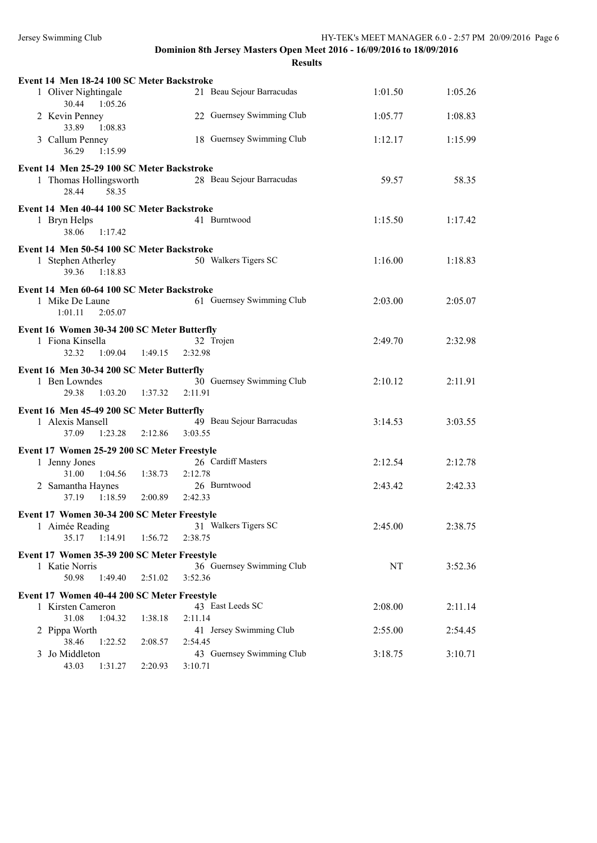| Event 14 Men 18-24 100 SC Meter Backstroke                    |                                    |         |         |
|---------------------------------------------------------------|------------------------------------|---------|---------|
| 1 Oliver Nightingale                                          | 21 Beau Sejour Barracudas          | 1:01.50 | 1:05.26 |
| 30.44 1:05.26                                                 |                                    |         |         |
| 2 Kevin Penney<br>33.89<br>1:08.83                            | 22 Guernsey Swimming Club          | 1:05.77 | 1:08.83 |
| 3 Callum Penney                                               | 18 Guernsey Swimming Club          | 1:12.17 | 1:15.99 |
| 36.29<br>1:15.99                                              |                                    |         |         |
| Event 14 Men 25-29 100 SC Meter Backstroke                    |                                    |         |         |
| 1 Thomas Hollingsworth                                        | 28 Beau Sejour Barracudas          | 59.57   | 58.35   |
| 28.44<br>58.35                                                |                                    |         |         |
| Event 14 Men 40-44 100 SC Meter Backstroke                    |                                    |         |         |
| 1 Bryn Helps                                                  | 41 Burntwood                       | 1:15.50 | 1:17.42 |
| 38.06<br>1:17.42                                              |                                    |         |         |
| Event 14 Men 50-54 100 SC Meter Backstroke                    |                                    |         |         |
| 1 Stephen Atherley<br>39.36<br>1:18.83                        | 50 Walkers Tigers SC               | 1:16.00 | 1:18.83 |
|                                                               |                                    |         |         |
| Event 14 Men 60-64 100 SC Meter Backstroke<br>1 Mike De Laune | 61 Guernsey Swimming Club          | 2:03.00 | 2:05.07 |
| 1:01.11<br>2:05.07                                            |                                    |         |         |
| Event 16 Women 30-34 200 SC Meter Butterfly                   |                                    |         |         |
| 1 Fiona Kinsella                                              | 32 Trojen                          | 2:49.70 | 2:32.98 |
| 32.32<br>1:09.04<br>1:49.15                                   | 2:32.98                            |         |         |
| Event 16 Men 30-34 200 SC Meter Butterfly                     |                                    |         |         |
| 1 Ben Lowndes                                                 | 30 Guernsey Swimming Club          | 2:10.12 | 2:11.91 |
| 29.38<br>1:03.20<br>1:37.32                                   | 2:11.91                            |         |         |
| Event 16 Men 45-49 200 SC Meter Butterfly                     |                                    |         |         |
| 1 Alexis Mansell                                              | 49 Beau Sejour Barracudas          | 3:14.53 | 3:03.55 |
| 1:23.28<br>37.09<br>2:12.86                                   | 3:03.55                            |         |         |
| Event 17 Women 25-29 200 SC Meter Freestyle                   |                                    |         |         |
| 1 Jenny Jones<br>31.00<br>1:04.56<br>1:38.73                  | 26 Cardiff Masters<br>2:12.78      | 2:12.54 | 2:12.78 |
| 2 Samantha Haynes                                             | 26 Burntwood                       | 2:43.42 | 2:42.33 |
| 1:18.59<br>2:00.89<br>37.19                                   | 2:42.33                            |         |         |
| Event 17 Women 30-34 200 SC Meter Freestyle                   |                                    |         |         |
| 1 Aimée Reading                                               | 31 Walkers Tigers SC               | 2:45.00 | 2:38.75 |
| 35.17<br>1:14.91<br>1:56.72                                   | 2:38.75                            |         |         |
| Event 17 Women 35-39 200 SC Meter Freestyle                   |                                    |         |         |
| 1 Katie Norris                                                | 36 Guernsey Swimming Club          | NT      | 3:52.36 |
| 50.98<br>1:49.40<br>2:51.02                                   | 3:52.36                            |         |         |
| Event 17 Women 40-44 200 SC Meter Freestyle                   |                                    |         |         |
| 1 Kirsten Cameron                                             | 43 East Leeds SC                   | 2:08.00 | 2:11.14 |
| 31.08<br>1:04.32<br>1:38.18<br>2 Pippa Worth                  | 2:11.14<br>41 Jersey Swimming Club | 2:55.00 |         |
| 38.46<br>1:22.52<br>2:08.57                                   | 2:54.45                            |         | 2:54.45 |
| 3 Jo Middleton                                                | 43 Guernsey Swimming Club          | 3:18.75 | 3:10.71 |
| 43.03<br>1:31.27<br>2:20.93                                   | 3:10.71                            |         |         |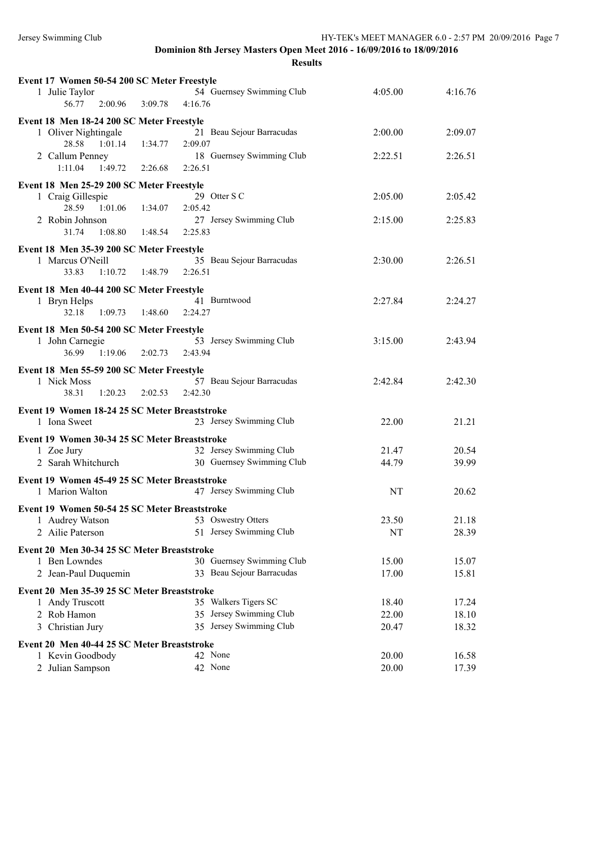| Event 17 Women 50-54 200 SC Meter Freestyle   |                           |         |         |
|-----------------------------------------------|---------------------------|---------|---------|
| 1 Julie Taylor                                | 54 Guernsey Swimming Club | 4:05.00 | 4:16.76 |
| 56.77<br>2:00.96<br>3:09.78                   | 4:16.76                   |         |         |
| Event 18 Men 18-24 200 SC Meter Freestyle     |                           |         |         |
| 1 Oliver Nightingale                          | 21 Beau Sejour Barracudas | 2:00.00 | 2:09.07 |
| 28.58<br>1:01.14<br>1:34.77                   | 2:09.07                   |         |         |
| 2 Callum Penney                               | 18 Guernsey Swimming Club | 2:22.51 | 2:26.51 |
| 1:11.04<br>1:49.72<br>2:26.68                 | 2:26.51                   |         |         |
|                                               |                           |         |         |
| Event 18 Men 25-29 200 SC Meter Freestyle     |                           |         |         |
| 1 Craig Gillespie                             | 29 Otter S C              | 2:05.00 | 2:05.42 |
| 28.59 1:01.06<br>1:34.07                      | 2:05.42                   |         |         |
| 2 Robin Johnson                               | 27 Jersey Swimming Club   | 2:15.00 | 2:25.83 |
| 31.74<br>1:08.80<br>1:48.54                   | 2:25.83                   |         |         |
| Event 18 Men 35-39 200 SC Meter Freestyle     |                           |         |         |
| 1 Marcus O'Neill                              | 35 Beau Sejour Barracudas | 2:30.00 | 2:26.51 |
| 33.83<br>1:10.72<br>1:48.79                   | 2:26.51                   |         |         |
| Event 18 Men 40-44 200 SC Meter Freestyle     |                           |         |         |
| 1 Bryn Helps                                  | 41 Burntwood              | 2:27.84 | 2:24.27 |
| 32.18<br>1:09.73<br>1:48.60                   | 2:24.27                   |         |         |
|                                               |                           |         |         |
| Event 18 Men 50-54 200 SC Meter Freestyle     |                           |         |         |
| 1 John Carnegie                               | 53 Jersey Swimming Club   | 3:15.00 | 2:43.94 |
| 36.99<br>1:19.06<br>2:02.73                   | 2:43.94                   |         |         |
| Event 18 Men 55-59 200 SC Meter Freestyle     |                           |         |         |
| 1 Nick Moss                                   | 57 Beau Sejour Barracudas | 2:42.84 | 2:42.30 |
| 38.31<br>1:20.23<br>2:02.53                   | 2:42.30                   |         |         |
| Event 19 Women 18-24 25 SC Meter Breaststroke |                           |         |         |
| 1 Iona Sweet                                  | 23 Jersey Swimming Club   | 22.00   | 21.21   |
|                                               |                           |         |         |
| Event 19 Women 30-34 25 SC Meter Breaststroke |                           |         |         |
| 1 Zoe Jury                                    | 32 Jersey Swimming Club   | 21.47   | 20.54   |
| 2 Sarah Whitchurch                            | 30 Guernsey Swimming Club | 44.79   | 39.99   |
| Event 19 Women 45-49 25 SC Meter Breaststroke |                           |         |         |
| 1 Marion Walton                               | 47 Jersey Swimming Club   | NT      | 20.62   |
|                                               |                           |         |         |
| Event 19 Women 50-54 25 SC Meter Breaststroke | 53 Oswestry Otters        | 23.50   | 21.18   |
| 1 Audrey Watson                               |                           |         |         |
| 2 Ailie Paterson                              | 51 Jersey Swimming Club   | NT      | 28.39   |
| Event 20 Men 30-34 25 SC Meter Breaststroke   |                           |         |         |
| 1 Ben Lowndes                                 | 30 Guernsey Swimming Club | 15.00   | 15.07   |
| 2 Jean-Paul Duquemin                          | 33 Beau Sejour Barracudas | 17.00   | 15.81   |
| Event 20 Men 35-39 25 SC Meter Breaststroke   |                           |         |         |
| 1 Andy Truscott                               | 35 Walkers Tigers SC      | 18.40   | 17.24   |
| 2 Rob Hamon                                   | 35 Jersey Swimming Club   | 22.00   | 18.10   |
| 3 Christian Jury                              | 35 Jersey Swimming Club   | 20.47   | 18.32   |
|                                               |                           |         |         |
| Event 20 Men 40-44 25 SC Meter Breaststroke   |                           |         |         |
| 1 Kevin Goodbody                              | 42 None                   | 20.00   | 16.58   |
| 2 Julian Sampson                              | 42 None                   | 20.00   | 17.39   |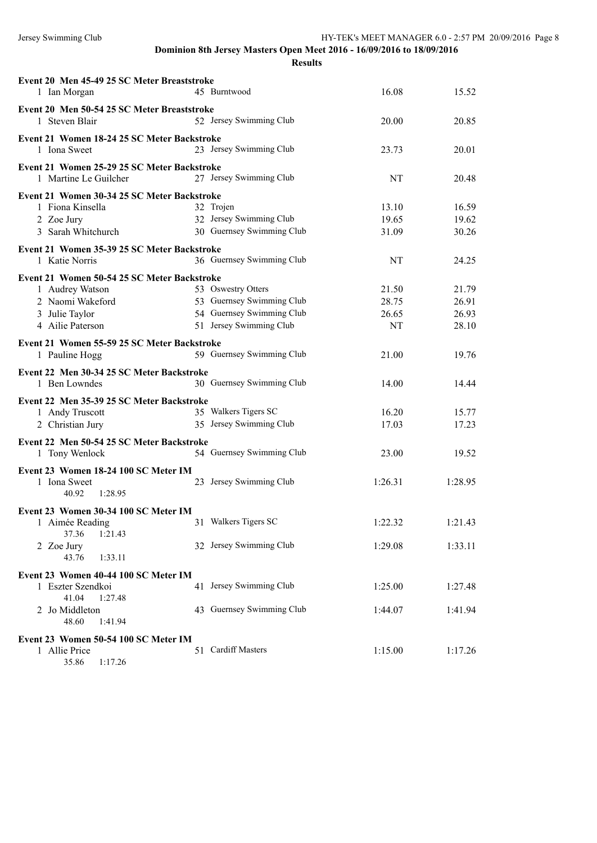**Results**

| Event 20 Men 45-49 25 SC Meter Breaststroke<br>1 Ian Morgan          | 45 Burntwood              | 16.08   | 15.52   |
|----------------------------------------------------------------------|---------------------------|---------|---------|
| Event 20 Men 50-54 25 SC Meter Breaststroke                          |                           |         |         |
| 1 Steven Blair                                                       | 52 Jersey Swimming Club   | 20.00   | 20.85   |
| Event 21 Women 18-24 25 SC Meter Backstroke<br>1 Iona Sweet          | 23 Jersey Swimming Club   | 23.73   | 20.01   |
| Event 21 Women 25-29 25 SC Meter Backstroke<br>1 Martine Le Guilcher | 27 Jersey Swimming Club   | NT      | 20.48   |
| Event 21 Women 30-34 25 SC Meter Backstroke                          |                           |         |         |
| 1 Fiona Kinsella                                                     | 32 Trojen                 | 13.10   | 16.59   |
| 2 Zoe Jury                                                           | 32 Jersey Swimming Club   | 19.65   | 19.62   |
| 3 Sarah Whitchurch                                                   | 30 Guernsey Swimming Club | 31.09   | 30.26   |
| Event 21 Women 35-39 25 SC Meter Backstroke                          |                           |         |         |
| 1 Katie Norris                                                       | 36 Guernsey Swimming Club | NT      | 24.25   |
| Event 21 Women 50-54 25 SC Meter Backstroke                          |                           |         |         |
| 1 Audrey Watson                                                      | 53 Oswestry Otters        | 21.50   | 21.79   |
| 2 Naomi Wakeford                                                     | 53 Guernsey Swimming Club | 28.75   | 26.91   |
| 3 Julie Taylor                                                       | 54 Guernsey Swimming Club | 26.65   | 26.93   |
| 4 Ailie Paterson                                                     | 51 Jersey Swimming Club   | NT      | 28.10   |
|                                                                      |                           |         |         |
| Event 21 Women 55-59 25 SC Meter Backstroke<br>1 Pauline Hogg        | 59 Guernsey Swimming Club | 21.00   | 19.76   |
|                                                                      |                           |         |         |
| Event 22 Men 30-34 25 SC Meter Backstroke                            |                           |         |         |
| 1 Ben Lowndes                                                        | 30 Guernsey Swimming Club | 14.00   | 14.44   |
| Event 22 Men 35-39 25 SC Meter Backstroke                            |                           |         |         |
| 1 Andy Truscott                                                      | 35 Walkers Tigers SC      | 16.20   | 15.77   |
| 2 Christian Jury                                                     | 35 Jersey Swimming Club   | 17.03   | 17.23   |
| Event 22 Men 50-54 25 SC Meter Backstroke                            |                           |         |         |
| 1 Tony Wenlock                                                       | 54 Guernsey Swimming Club | 23.00   | 19.52   |
| Event 23 Women 18-24 100 SC Meter IM                                 |                           |         |         |
| 1 Iona Sweet                                                         | 23 Jersey Swimming Club   | 1:26.31 | 1:28.95 |
| 40.92<br>1:28.95                                                     |                           |         |         |
| Event 23 Women 30-34 100 SC Meter IM                                 |                           |         |         |
| 1 Aimée Reading                                                      | 31 Walkers Tigers SC      | 1:22.32 | 1:21.43 |
| 37.36<br>1:21.43                                                     |                           |         |         |
| 2 Zoe Jury                                                           | 32 Jersey Swimming Club   | 1:29.08 | 1:33.11 |
| 43.76<br>1:33.11                                                     |                           |         |         |
| Event 23 Women 40-44 100 SC Meter IM                                 |                           |         |         |
| 1 Eszter Szendkoi                                                    | 41 Jersey Swimming Club   | 1:25.00 | 1:27.48 |
| 41.04<br>1:27.48                                                     |                           |         |         |
| 2 Jo Middleton                                                       | 43 Guernsey Swimming Club | 1:44.07 | 1:41.94 |
| 48.60<br>1:41.94                                                     |                           |         |         |
| Event 23 Women 50-54 100 SC Meter IM                                 |                           |         |         |
| 1 Allie Price                                                        | 51 Cardiff Masters        | 1:15.00 | 1:17.26 |
|                                                                      |                           |         |         |

35.86 1:17.26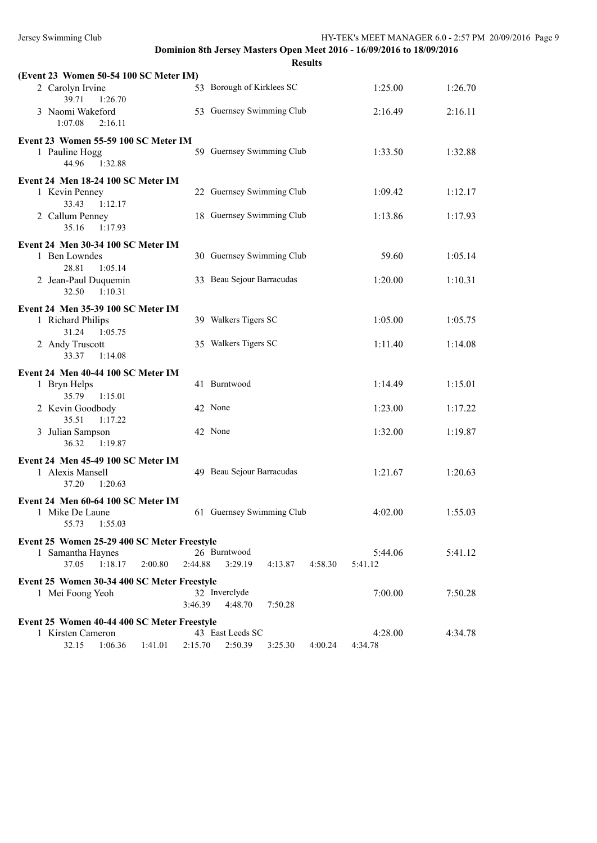| (Event 23 Women 50-54 100 SC Meter IM)                  |                                          |                    |         |
|---------------------------------------------------------|------------------------------------------|--------------------|---------|
| 2 Carolyn Irvine<br>39.71<br>1:26.70                    | 53 Borough of Kirklees SC                | 1:25.00            | 1:26.70 |
| 3 Naomi Wakeford<br>1:07.08<br>2:16.11                  | 53 Guernsey Swimming Club                | 2:16.49            | 2:16.11 |
| Event 23 Women 55-59 100 SC Meter IM                    |                                          |                    |         |
| 1 Pauline Hogg<br>44.96<br>1:32.88                      | 59 Guernsey Swimming Club                | 1:33.50            | 1:32.88 |
| Event 24 Men 18-24 100 SC Meter IM                      |                                          |                    |         |
| 1 Kevin Penney                                          | 22 Guernsey Swimming Club                | 1:09.42            | 1:12.17 |
| 1:12.17<br>33.43<br>2 Callum Penney<br>35.16<br>1:17.93 | 18 Guernsey Swimming Club                | 1:13.86            | 1:17.93 |
| Event 24 Men 30-34 100 SC Meter IM                      |                                          |                    |         |
| 1 Ben Lowndes<br>28.81<br>1:05.14                       | 30 Guernsey Swimming Club                | 59.60              | 1:05.14 |
| 2 Jean-Paul Duquemin<br>32.50<br>1:10.31                | 33 Beau Sejour Barracudas                | 1:20.00            | 1:10.31 |
|                                                         |                                          |                    |         |
| Event 24 Men 35-39 100 SC Meter IM<br>1 Richard Philips | 39 Walkers Tigers SC                     | 1:05.00            | 1:05.75 |
| 31.24<br>1:05.75<br>2 Andy Truscott                     | 35 Walkers Tigers SC                     | 1:11.40            | 1:14.08 |
| 33.37<br>1:14.08                                        |                                          |                    |         |
| Event 24 Men 40-44 100 SC Meter IM                      |                                          |                    |         |
| 1 Bryn Helps                                            | 41 Burntwood                             | 1:14.49            | 1:15.01 |
| 35.79<br>1:15.01<br>2 Kevin Goodbody                    | 42 None                                  | 1:23.00            | 1:17.22 |
| 35.51<br>1:17.22                                        |                                          |                    |         |
| 3 Julian Sampson<br>1:19.87<br>36.32                    | 42 None                                  | 1:32.00            | 1:19.87 |
| Event 24 Men 45-49 100 SC Meter IM                      |                                          |                    |         |
| 1 Alexis Mansell                                        | 49 Beau Sejour Barracudas                | 1:21.67            | 1:20.63 |
| 1:20.63<br>37.20                                        |                                          |                    |         |
| Event 24 Men 60-64 100 SC Meter IM                      |                                          |                    |         |
| 1 Mike De Laune<br>1:55.03<br>55.73                     | 61 Guernsey Swimming Club                | 4:02.00            | 1:55.03 |
| Event 25 Women 25-29 400 SC Meter Freestyle             |                                          |                    |         |
| 1 Samantha Haynes                                       | 26 Burntwood                             | 5:44.06            | 5:41.12 |
| 37.05<br>1:18.17<br>2:00.80                             | 2:44.88<br>3:29.19<br>4:13.87<br>4:58.30 | 5:41.12            |         |
| Event 25 Women 30-34 400 SC Meter Freestyle             |                                          |                    |         |
| 1 Mei Foong Yeoh                                        | 32 Inverclyde                            | 7:00.00            | 7:50.28 |
|                                                         | 3:46.39<br>4:48.70<br>7:50.28            |                    |         |
| Event 25 Women 40-44 400 SC Meter Freestyle             |                                          |                    |         |
| 1 Kirsten Cameron                                       | 43 East Leeds SC                         | 4:28.00<br>4:34.78 | 4:34.78 |
| 32.15<br>1:41.01<br>1:06.36                             | 2:50.39<br>2:15.70<br>3:25.30<br>4:00.24 |                    |         |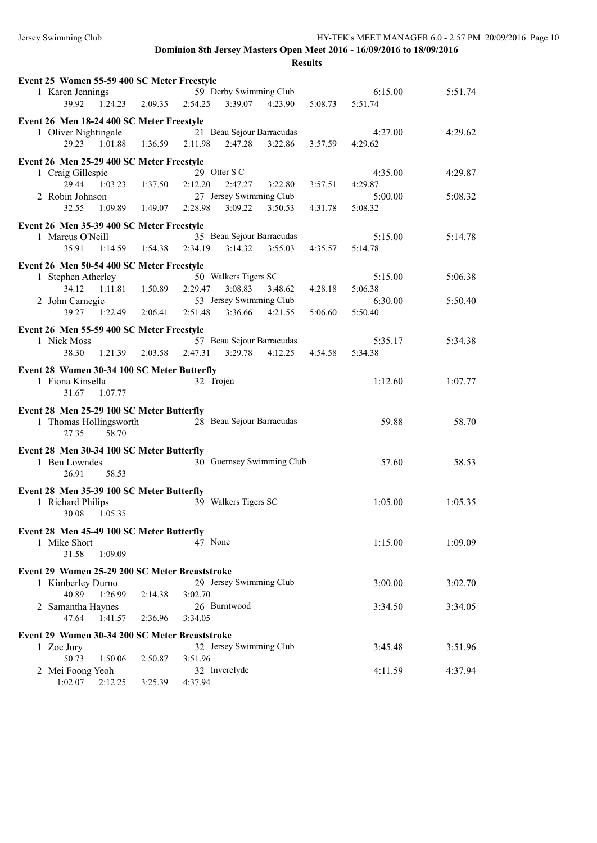| Event 25 Women 55-59 400 SC Meter Freestyle    |                                                  |         |         |
|------------------------------------------------|--------------------------------------------------|---------|---------|
| 1 Karen Jennings                               | 59 Derby Swimming Club                           | 6:15.00 | 5:51.74 |
| 39.92<br>2:09.35<br>1:24.23                    | 2:54.25<br>3:39.07<br>4:23.90<br>5:08.73         | 5:51.74 |         |
| Event 26 Men 18-24 400 SC Meter Freestyle      |                                                  |         |         |
| 1 Oliver Nightingale                           | 21 Beau Sejour Barracudas                        | 4:27.00 | 4:29.62 |
| 29.23 1:01.88 1:36.59 2:11.98                  | 2:47.28<br>3:22.86<br>3:57.59                    | 4:29.62 |         |
|                                                |                                                  |         |         |
| Event 26 Men 25-29 400 SC Meter Freestyle      |                                                  |         |         |
| 1 Craig Gillespie                              | 29 Otter S C                                     | 4:35.00 | 4:29.87 |
| 1:37.50<br>29.44<br>1:03.23                    | 2:12.20<br>2:47.27<br>3:22.80<br>3:57.51         | 4:29.87 |         |
| 2 Robin Johnson                                | 27 Jersey Swimming Club                          | 5:00.00 | 5:08.32 |
| 32.55<br>1:09.89 1:49.07                       | 2:28.98<br>3:09.22<br>3:50.53<br>4:31.78         | 5:08.32 |         |
| Event 26 Men 35-39 400 SC Meter Freestyle      |                                                  |         |         |
| 1 Marcus O'Neill                               | 35 Beau Sejour Barracudas                        | 5:15.00 | 5:14.78 |
| 35.91<br>$1:14.59$ $1:54.38$                   | 2:34.19<br>3:14.32<br>3:55.03<br>4:35.57         | 5:14.78 |         |
| Event 26 Men 50-54 400 SC Meter Freestyle      |                                                  |         |         |
| 1 Stephen Atherley                             | 50 Walkers Tigers SC                             | 5:15.00 | 5:06.38 |
| 34.12<br>$1:11.81$ $1:50.89$                   | 3:08.83<br>2:29.47<br>3:48.62<br>4:28.18         | 5:06.38 |         |
| 2 John Carnegie                                | 53 Jersey Swimming Club                          | 6:30.00 | 5:50.40 |
| 39.27<br>1:22.49                               | 2:06.41 2:51.48<br>3:36.66<br>4:21.55<br>5:06.60 | 5:50.40 |         |
|                                                |                                                  |         |         |
| Event 26 Men 55-59 400 SC Meter Freestyle      |                                                  |         |         |
| 1 Nick Moss                                    | 57 Beau Sejour Barracudas                        | 5:35.17 | 5:34.38 |
| 1:21.39<br>2:03.58<br>38.30                    | 3:29.78<br>2:47.31<br>4:12.25<br>4:54.58         | 5:34.38 |         |
| Event 28 Women 30-34 100 SC Meter Butterfly    |                                                  |         |         |
| 1 Fiona Kinsella                               | 32 Trojen                                        | 1:12.60 | 1:07.77 |
| 31.67<br>1:07.77                               |                                                  |         |         |
| Event 28 Men 25-29 100 SC Meter Butterfly      |                                                  |         |         |
| 1 Thomas Hollingsworth                         | 28 Beau Sejour Barracudas                        | 59.88   | 58.70   |
| 58.70<br>27.35                                 |                                                  |         |         |
|                                                |                                                  |         |         |
| Event 28 Men 30-34 100 SC Meter Butterfly      |                                                  |         |         |
| 1 Ben Lowndes                                  | 30 Guernsey Swimming Club                        | 57.60   | 58.53   |
| 26.91<br>58.53                                 |                                                  |         |         |
| Event 28 Men 35-39 100 SC Meter Butterfly      |                                                  |         |         |
| 1 Richard Philips                              | 39 Walkers Tigers SC                             | 1:05.00 | 1:05.35 |
| 30.08<br>1:05.35                               |                                                  |         |         |
| Event 28 Men 45-49 100 SC Meter Butterfly      |                                                  |         |         |
| 1 Mike Short                                   | 47 None                                          | 1:15.00 | 1:09.09 |
| 1:09.09<br>31.58                               |                                                  |         |         |
|                                                |                                                  |         |         |
| Event 29 Women 25-29 200 SC Meter Breaststroke |                                                  |         |         |
| 1 Kimberley Durno                              | 29 Jersey Swimming Club                          | 3:00.00 | 3:02.70 |
| 40.89<br>1:26.99<br>2:14.38                    | 3:02.70                                          |         |         |
| 2 Samantha Haynes                              | 26 Burntwood                                     | 3:34.50 | 3:34.05 |
| 47.64<br>1:41.57<br>2:36.96                    | 3:34.05                                          |         |         |
| Event 29 Women 30-34 200 SC Meter Breaststroke |                                                  |         |         |
| 1 Zoe Jury                                     | 32 Jersey Swimming Club                          | 3:45.48 | 3:51.96 |
| 50.73<br>1:50.06<br>2:50.87                    | 3:51.96                                          |         |         |
| 2 Mei Foong Yeoh                               | 32 Inverclyde                                    | 4:11.59 | 4:37.94 |
| 1:02.07<br>2:12.25<br>3:25.39                  | 4:37.94                                          |         |         |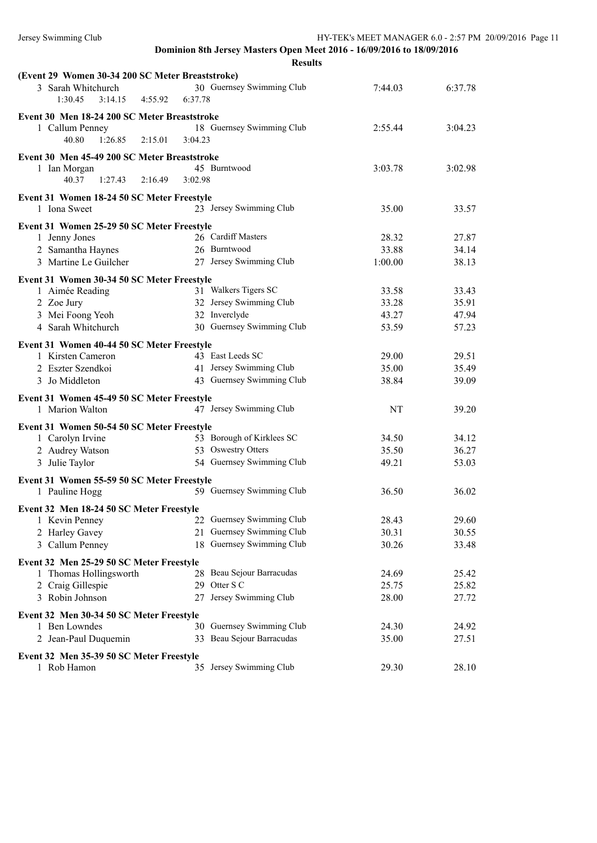| (Event 29 Women 30-34 200 SC Meter Breaststroke)           |                           |         |         |
|------------------------------------------------------------|---------------------------|---------|---------|
| 3 Sarah Whitchurch                                         | 30 Guernsey Swimming Club | 7:44.03 | 6:37.78 |
| 1:30.45<br>3:14.15<br>4:55.92                              | 6:37.78                   |         |         |
| Event 30 Men 18-24 200 SC Meter Breaststroke               |                           |         |         |
| 1 Callum Penney                                            | 18 Guernsey Swimming Club | 2:55.44 | 3:04.23 |
| 40.80<br>1:26.85<br>2:15.01                                | 3:04.23                   |         |         |
| Event 30 Men 45-49 200 SC Meter Breaststroke               |                           |         |         |
| 1 Ian Morgan                                               | 45 Burntwood              | 3:03.78 | 3:02.98 |
| 40.37<br>1:27.43<br>2:16.49                                | 3:02.98                   |         |         |
|                                                            |                           |         |         |
| Event 31 Women 18-24 50 SC Meter Freestyle<br>1 Iona Sweet | 23 Jersey Swimming Club   | 35.00   | 33.57   |
|                                                            |                           |         |         |
| Event 31 Women 25-29 50 SC Meter Freestyle                 |                           |         |         |
| 1 Jenny Jones                                              | 26 Cardiff Masters        | 28.32   | 27.87   |
| 2 Samantha Haynes                                          | 26 Burntwood              | 33.88   | 34.14   |
| 3 Martine Le Guilcher                                      | 27 Jersey Swimming Club   | 1:00.00 | 38.13   |
| Event 31 Women 30-34 50 SC Meter Freestyle                 |                           |         |         |
| 1 Aimée Reading                                            | 31 Walkers Tigers SC      | 33.58   | 33.43   |
| 2 Zoe Jury                                                 | 32 Jersey Swimming Club   | 33.28   | 35.91   |
| 3 Mei Foong Yeoh                                           | 32 Inverclyde             | 43.27   | 47.94   |
| 4 Sarah Whitchurch                                         | 30 Guernsey Swimming Club | 53.59   | 57.23   |
| Event 31 Women 40-44 50 SC Meter Freestyle                 |                           |         |         |
| 1 Kirsten Cameron                                          | 43 East Leeds SC          | 29.00   | 29.51   |
| 2 Eszter Szendkoi                                          | 41 Jersey Swimming Club   | 35.00   | 35.49   |
| 3 Jo Middleton                                             | 43 Guernsey Swimming Club | 38.84   | 39.09   |
| Event 31 Women 45-49 50 SC Meter Freestyle                 |                           |         |         |
| 1 Marion Walton                                            | 47 Jersey Swimming Club   | NT      | 39.20   |
| Event 31 Women 50-54 50 SC Meter Freestyle                 |                           |         |         |
| 1 Carolyn Irvine                                           | 53 Borough of Kirklees SC | 34.50   | 34.12   |
| 2 Audrey Watson                                            | 53 Oswestry Otters        | 35.50   | 36.27   |
| 3 Julie Taylor                                             | 54 Guernsey Swimming Club | 49.21   | 53.03   |
|                                                            |                           |         |         |
| Event 31 Women 55-59 50 SC Meter Freestyle                 |                           |         |         |
| 1 Pauline Hogg                                             | 59 Guernsey Swimming Club | 36.50   | 36.02   |
| Event 32 Men 18-24 50 SC Meter Freestyle                   |                           |         |         |
| 1 Kevin Penney                                             | 22 Guernsey Swimming Club | 28.43   | 29.60   |
| 2 Harley Gavey                                             | 21 Guernsey Swimming Club | 30.31   | 30.55   |
| 3 Callum Penney                                            | 18 Guernsey Swimming Club | 30.26   | 33.48   |
| Event 32 Men 25-29 50 SC Meter Freestyle                   |                           |         |         |
| 1 Thomas Hollingsworth                                     | 28 Beau Sejour Barracudas | 24.69   | 25.42   |
| 2 Craig Gillespie                                          | 29 Otter S C              | 25.75   | 25.82   |
| 3 Robin Johnson                                            | 27 Jersey Swimming Club   | 28.00   | 27.72   |
| Event 32 Men 30-34 50 SC Meter Freestyle                   |                           |         |         |
| 1 Ben Lowndes                                              | 30 Guernsey Swimming Club | 24.30   | 24.92   |
| 2 Jean-Paul Duquemin                                       | 33 Beau Sejour Barracudas | 35.00   | 27.51   |
| Event 32 Men 35-39 50 SC Meter Freestyle                   |                           |         |         |
| 1 Rob Hamon                                                | 35 Jersey Swimming Club   | 29.30   | 28.10   |
|                                                            |                           |         |         |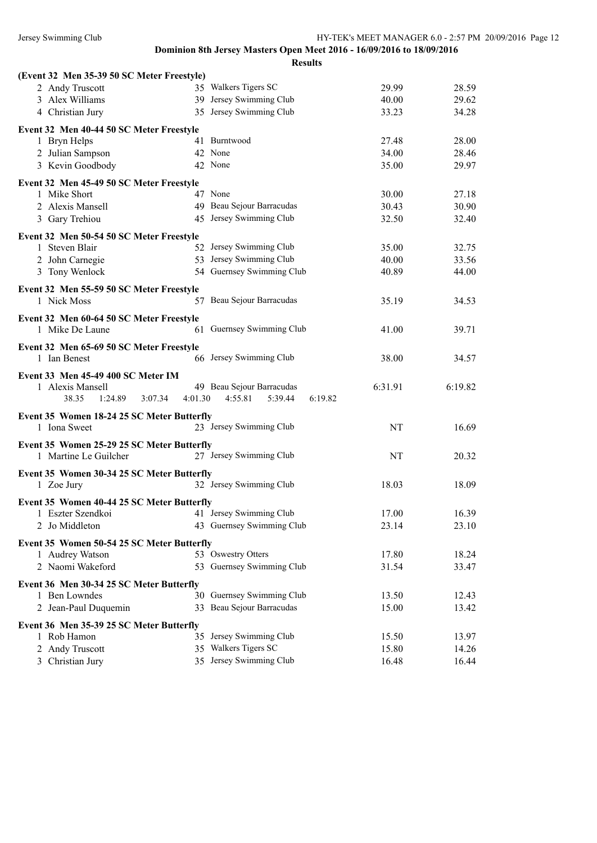| (Event 32 Men 35-39 50 SC Meter Freestyle)                  |                                                 |         |         |
|-------------------------------------------------------------|-------------------------------------------------|---------|---------|
| 2 Andy Truscott                                             | 35 Walkers Tigers SC                            | 29.99   | 28.59   |
| 3 Alex Williams                                             | 39 Jersey Swimming Club                         | 40.00   | 29.62   |
| 4 Christian Jury                                            | 35 Jersey Swimming Club                         | 33.23   | 34.28   |
| Event 32 Men 40-44 50 SC Meter Freestyle                    |                                                 |         |         |
| 1 Bryn Helps                                                | 41 Burntwood                                    | 27.48   | 28.00   |
| 2 Julian Sampson                                            | 42 None                                         | 34.00   | 28.46   |
| 3 Kevin Goodbody                                            | 42 None                                         | 35.00   | 29.97   |
| Event 32 Men 45-49 50 SC Meter Freestyle                    |                                                 |         |         |
| 1 Mike Short                                                | 47 None                                         | 30.00   | 27.18   |
| 2 Alexis Mansell                                            | 49 Beau Sejour Barracudas                       | 30.43   | 30.90   |
| 3 Gary Trehiou                                              | 45 Jersey Swimming Club                         | 32.50   | 32.40   |
| Event 32 Men 50-54 50 SC Meter Freestyle                    |                                                 |         |         |
| 1 Steven Blair                                              | 52 Jersey Swimming Club                         | 35.00   | 32.75   |
| 2 John Carnegie                                             | 53 Jersey Swimming Club                         | 40.00   | 33.56   |
| 3 Tony Wenlock                                              | 54 Guernsey Swimming Club                       | 40.89   | 44.00   |
| Event 32 Men 55-59 50 SC Meter Freestyle                    |                                                 |         |         |
| 1 Nick Moss                                                 | 57 Beau Sejour Barracudas                       | 35.19   | 34.53   |
|                                                             |                                                 |         |         |
| Event 32 Men 60-64 50 SC Meter Freestyle<br>1 Mike De Laune | 61 Guernsey Swimming Club                       | 41.00   | 39.71   |
| Event 32 Men 65-69 50 SC Meter Freestyle                    |                                                 |         |         |
| 1 Ian Benest                                                | 66 Jersey Swimming Club                         | 38.00   | 34.57   |
| Event 33 Men 45-49 400 SC Meter IM                          |                                                 |         |         |
| 1 Alexis Mansell                                            | 49 Beau Sejour Barracudas                       | 6:31.91 | 6:19.82 |
| 38.35<br>1:24.89<br>3:07.34                                 | 4:55.81<br>4:01.30<br>5:39.44<br>6:19.82        |         |         |
| Event 35 Women 18-24 25 SC Meter Butterfly                  |                                                 |         |         |
| 1 Iona Sweet                                                | 23 Jersey Swimming Club                         | NT      | 16.69   |
| Event 35 Women 25-29 25 SC Meter Butterfly                  |                                                 |         |         |
| 1 Martine Le Guilcher                                       | 27 Jersey Swimming Club                         | NT      | 20.32   |
|                                                             |                                                 |         |         |
| Event 35 Women 30-34 25 SC Meter Butterfly<br>1 Zoe Jury    | 32 Jersey Swimming Club                         | 18.03   | 18.09   |
|                                                             |                                                 |         |         |
| Event 35 Women 40-44 25 SC Meter Butterfly                  | 41 Jersey Swimming Club                         |         |         |
| 1 Eszter Szendkoi                                           | 43 Guernsey Swimming Club                       | 17.00   | 16.39   |
| 2 Jo Middleton                                              |                                                 | 23.14   | 23.10   |
| Event 35 Women 50-54 25 SC Meter Butterfly                  |                                                 |         |         |
| 1 Audrey Watson                                             | 53 Oswestry Otters                              | 17.80   | 18.24   |
|                                                             |                                                 |         |         |
| 2 Naomi Wakeford                                            | 53 Guernsey Swimming Club                       | 31.54   | 33.47   |
| Event 36 Men 30-34 25 SC Meter Butterfly                    |                                                 |         |         |
| 1 Ben Lowndes                                               | 30 Guernsey Swimming Club                       | 13.50   | 12.43   |
| 2 Jean-Paul Duquemin                                        | 33 Beau Sejour Barracudas                       | 15.00   | 13.42   |
|                                                             |                                                 |         |         |
| Event 36 Men 35-39 25 SC Meter Butterfly<br>1 Rob Hamon     | 35 Jersey Swimming Club                         | 15.50   | 13.97   |
| 2 Andy Truscott                                             | 35 Walkers Tigers SC<br>35 Jersey Swimming Club | 15.80   | 14.26   |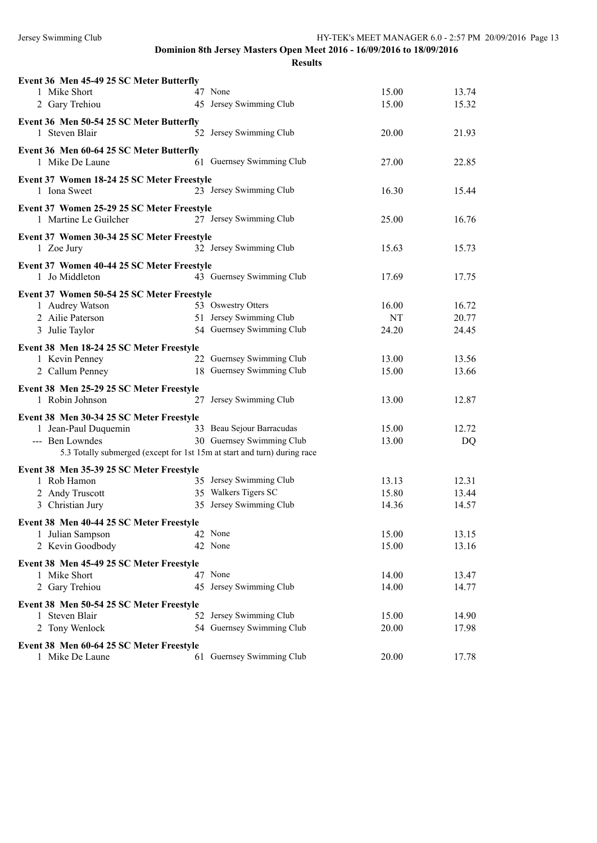| Event 36 Men 45-49 25 SC Meter Butterfly                            |                                                                          |       |                |
|---------------------------------------------------------------------|--------------------------------------------------------------------------|-------|----------------|
| 1 Mike Short                                                        | 47 None                                                                  | 15.00 | 13.74          |
| 2 Gary Trehiou                                                      | 45 Jersey Swimming Club                                                  | 15.00 | 15.32          |
| Event 36 Men 50-54 25 SC Meter Butterfly                            |                                                                          |       |                |
| 1 Steven Blair                                                      | 52 Jersey Swimming Club                                                  | 20.00 | 21.93          |
| Event 36 Men 60-64 25 SC Meter Butterfly                            |                                                                          |       |                |
| 1 Mike De Laune                                                     | 61 Guernsey Swimming Club                                                | 27.00 | 22.85          |
| Event 37 Women 18-24 25 SC Meter Freestyle                          |                                                                          |       |                |
| 1 Iona Sweet                                                        | 23 Jersey Swimming Club                                                  | 16.30 | 15.44          |
|                                                                     |                                                                          |       |                |
| Event 37 Women 25-29 25 SC Meter Freestyle<br>1 Martine Le Guilcher | 27 Jersey Swimming Club                                                  | 25.00 | 16.76          |
|                                                                     |                                                                          |       |                |
| Event 37 Women 30-34 25 SC Meter Freestyle                          |                                                                          |       |                |
| 1 Zoe Jury                                                          | 32 Jersey Swimming Club                                                  | 15.63 | 15.73          |
| Event 37 Women 40-44 25 SC Meter Freestyle                          |                                                                          |       |                |
| 1 Jo Middleton                                                      | 43 Guernsey Swimming Club                                                | 17.69 | 17.75          |
|                                                                     |                                                                          |       |                |
| Event 37 Women 50-54 25 SC Meter Freestyle                          | 53 Oswestry Otters                                                       |       |                |
| 1 Audrey Watson                                                     | 51 Jersey Swimming Club                                                  | 16.00 | 16.72<br>20.77 |
| 2 Ailie Paterson                                                    | 54 Guernsey Swimming Club                                                | NT    |                |
| 3 Julie Taylor                                                      |                                                                          | 24.20 | 24.45          |
| Event 38 Men 18-24 25 SC Meter Freestyle                            |                                                                          |       |                |
| 1 Kevin Penney                                                      | 22 Guernsey Swimming Club                                                | 13.00 | 13.56          |
| 2 Callum Penney                                                     | 18 Guernsey Swimming Club                                                | 15.00 | 13.66          |
| Event 38 Men 25-29 25 SC Meter Freestyle                            |                                                                          |       |                |
| 1 Robin Johnson                                                     | 27 Jersey Swimming Club                                                  | 13.00 | 12.87          |
|                                                                     |                                                                          |       |                |
| Event 38 Men 30-34 25 SC Meter Freestyle                            |                                                                          |       |                |
| 1 Jean-Paul Duquemin                                                | 33 Beau Sejour Barracudas                                                | 15.00 | 12.72          |
| --- Ben Lowndes                                                     | 30 Guernsey Swimming Club                                                | 13.00 | DQ             |
|                                                                     | 5.3 Totally submerged (except for 1st 15m at start and turn) during race |       |                |
| Event 38 Men 35-39 25 SC Meter Freestyle                            |                                                                          |       |                |
| 1 Rob Hamon                                                         | 35 Jersey Swimming Club                                                  | 13.13 | 12.31          |
| 2 Andy Truscott                                                     | 35 Walkers Tigers SC                                                     | 15.80 | 13.44          |
| 3 Christian Jury                                                    | 35 Jersey Swimming Club                                                  | 14.36 | 14.57          |
| Event 38 Men 40-44 25 SC Meter Freestyle                            |                                                                          |       |                |
| 1 Julian Sampson                                                    | 42 None                                                                  | 15.00 | 13.15          |
| 2 Kevin Goodbody                                                    | 42 None                                                                  | 15.00 | 13.16          |
|                                                                     |                                                                          |       |                |
| Event 38 Men 45-49 25 SC Meter Freestyle                            |                                                                          |       |                |
| 1 Mike Short                                                        | 47 None                                                                  | 14.00 | 13.47          |
| 2 Gary Trehiou                                                      | 45 Jersey Swimming Club                                                  | 14.00 | 14.77          |
| Event 38 Men 50-54 25 SC Meter Freestyle                            |                                                                          |       |                |
| 1 Steven Blair                                                      | 52 Jersey Swimming Club                                                  | 15.00 | 14.90          |
| 2 Tony Wenlock                                                      | 54 Guernsey Swimming Club                                                | 20.00 | 17.98          |
| Event 38 Men 60-64 25 SC Meter Freestyle                            |                                                                          |       |                |
| 1 Mike De Laune                                                     | 61 Guernsey Swimming Club                                                | 20.00 | 17.78          |
|                                                                     |                                                                          |       |                |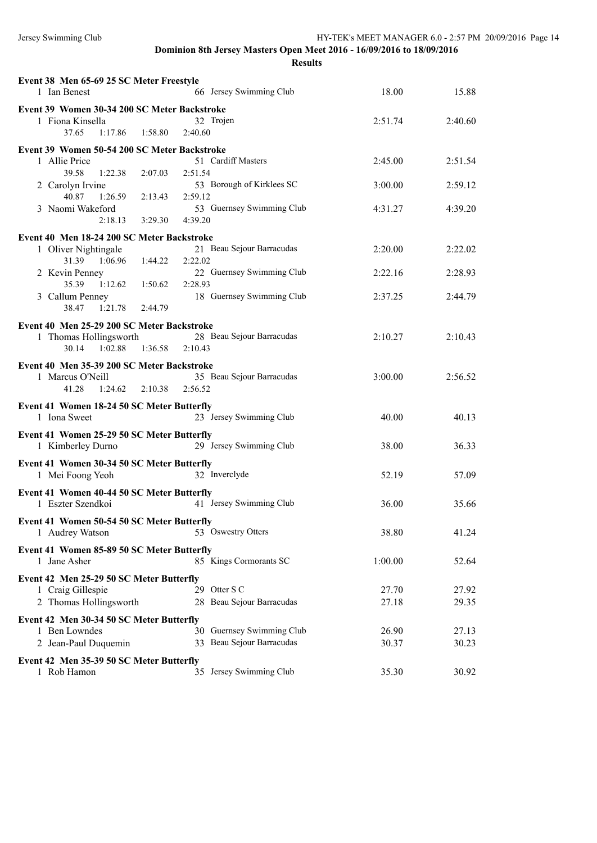| Event 38 Men 65-69 25 SC Meter Freestyle<br>66 Jersey Swimming Club<br>1 Ian Benest                                                                                                                                                                                                                         | 18.00                         | 15.88                         |
|-------------------------------------------------------------------------------------------------------------------------------------------------------------------------------------------------------------------------------------------------------------------------------------------------------------|-------------------------------|-------------------------------|
| Event 39 Women 30-34 200 SC Meter Backstroke<br>1 Fiona Kinsella<br>32 Trojen<br>1:58.80<br>2:40.60<br>37.65<br>1:17.86                                                                                                                                                                                     | 2:51.74                       | 2:40.60                       |
| Event 39 Women 50-54 200 SC Meter Backstroke<br>51 Cardiff Masters<br>1 Allie Price<br>39.58<br>1:22.38<br>2:07.03<br>2:51.54<br>53 Borough of Kirklees SC<br>2 Carolyn Irvine<br>40.87<br>1:26.59<br>2:59.12<br>2:13.43<br>3 Naomi Wakeford<br>53 Guernsey Swimming Club<br>3:29.30<br>4:39.20<br>2:18.13  | 2:45.00<br>3:00.00<br>4:31.27 | 2:51.54<br>2:59.12<br>4:39.20 |
| Event 40 Men 18-24 200 SC Meter Backstroke<br>1 Oliver Nightingale<br>21 Beau Sejour Barracudas<br>31.39 1:06.96<br>2:22.02<br>1:44.22<br>22 Guernsey Swimming Club<br>2 Kevin Penney<br>35.39 1:12.62<br>2:28.93<br>1:50.62<br>18 Guernsey Swimming Club<br>3 Callum Penney<br>38.47<br>1:21.78<br>2:44.79 | 2:20.00<br>2:22.16<br>2:37.25 | 2:22.02<br>2:28.93<br>2:44.79 |
| Event 40 Men 25-29 200 SC Meter Backstroke<br>28 Beau Sejour Barracudas<br>1 Thomas Hollingsworth<br>1:36.58<br>2:10.43<br>30.14<br>1:02.88                                                                                                                                                                 | 2:10.27                       | 2:10.43                       |
| Event 40 Men 35-39 200 SC Meter Backstroke<br>35 Beau Sejour Barracudas<br>1 Marcus O'Neill<br>41.28<br>$1:24.62$ $2:10.38$<br>2:56.52                                                                                                                                                                      | 3:00.00                       | 2:56.52                       |
| Event 41 Women 18-24 50 SC Meter Butterfly<br>23 Jersey Swimming Club<br>1 Iona Sweet                                                                                                                                                                                                                       | 40.00                         | 40.13                         |
| Event 41 Women 25-29 50 SC Meter Butterfly<br>29 Jersey Swimming Club<br>1 Kimberley Durno                                                                                                                                                                                                                  | 38.00                         | 36.33                         |
| Event 41 Women 30-34 50 SC Meter Butterfly<br>32 Inverclyde<br>1 Mei Foong Yeoh                                                                                                                                                                                                                             | 52.19                         | 57.09                         |
| Event 41 Women 40-44 50 SC Meter Butterfly<br>1 Eszter Szendkoi<br>41 Jersey Swimming Club                                                                                                                                                                                                                  | 36.00                         | 35.66                         |
| Event 41 Women 50-54 50 SC Meter Butterfly<br>53 Oswestry Otters<br>1 Audrey Watson                                                                                                                                                                                                                         | 38.80                         | 41.24                         |
| Event 41 Women 85-89 50 SC Meter Butterfly<br>85 Kings Cormorants SC<br>1 Jane Asher                                                                                                                                                                                                                        | 1:00.00                       | 52.64                         |
| Event 42 Men 25-29 50 SC Meter Butterfly<br>29 Otter S C<br>1 Craig Gillespie<br>2 Thomas Hollingsworth<br>28 Beau Sejour Barracudas                                                                                                                                                                        | 27.70<br>27.18                | 27.92<br>29.35                |
| Event 42 Men 30-34 50 SC Meter Butterfly<br>30 Guernsey Swimming Club<br>1 Ben Lowndes<br>33 Beau Sejour Barracudas<br>2 Jean-Paul Duquemin                                                                                                                                                                 | 26.90<br>30.37                | 27.13<br>30.23                |
| Event 42 Men 35-39 50 SC Meter Butterfly<br>1 Rob Hamon<br>35 Jersey Swimming Club                                                                                                                                                                                                                          | 35.30                         | 30.92                         |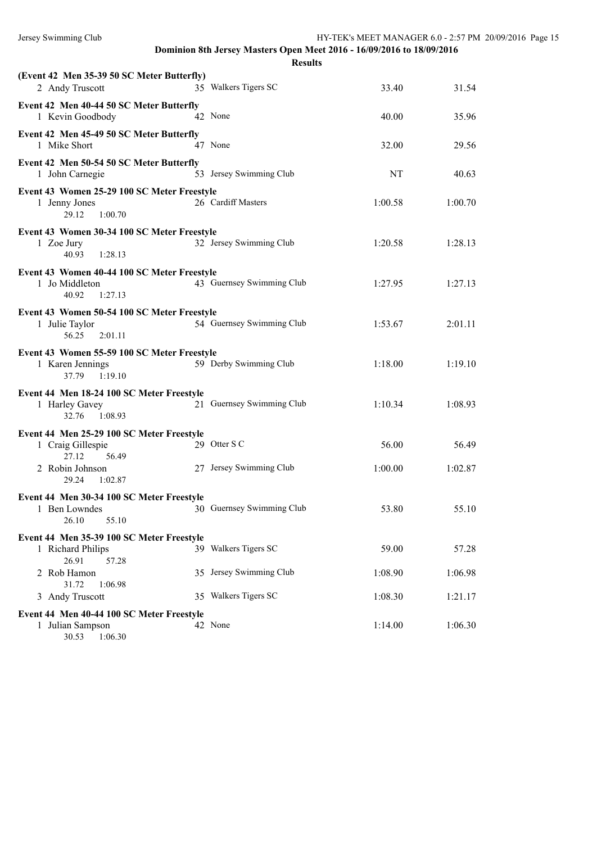| (Event 42 Men 35-39 50 SC Meter Butterfly)<br>2 Andy Truscott                     |         | 35 Walkers Tigers SC      | 33.40   | 31.54   |
|-----------------------------------------------------------------------------------|---------|---------------------------|---------|---------|
| Event 42 Men 40-44 50 SC Meter Butterfly<br>1 Kevin Goodbody                      | 42 None |                           | 40.00   | 35.96   |
| Event 42 Men 45-49 50 SC Meter Butterfly<br>1 Mike Short                          | 47 None |                           | 32.00   | 29.56   |
| Event 42 Men 50-54 50 SC Meter Butterfly<br>1 John Carnegie                       |         | 53 Jersey Swimming Club   | NT      | 40.63   |
| Event 43 Women 25-29 100 SC Meter Freestyle<br>1 Jenny Jones<br>29.12<br>1:00.70  |         | 26 Cardiff Masters        | 1:00.58 | 1:00.70 |
| Event 43 Women 30-34 100 SC Meter Freestyle<br>1 Zoe Jury<br>40.93<br>1:28.13     |         | 32 Jersey Swimming Club   | 1:20.58 | 1:28.13 |
| Event 43 Women 40-44 100 SC Meter Freestyle<br>1 Jo Middleton<br>40.92<br>1:27.13 |         | 43 Guernsey Swimming Club | 1:27.95 | 1:27.13 |
| Event 43 Women 50-54 100 SC Meter Freestyle<br>1 Julie Taylor<br>56.25<br>2:01.11 |         | 54 Guernsey Swimming Club | 1:53.67 | 2:01.11 |
| Event 43 Women 55-59 100 SC Meter Freestyle<br>1 Karen Jennings<br>37.79 1:19.10  |         | 59 Derby Swimming Club    | 1:18.00 | 1:19.10 |
| Event 44 Men 18-24 100 SC Meter Freestyle<br>1 Harley Gavey<br>32.76<br>1:08.93   |         | 21 Guernsey Swimming Club | 1:10.34 | 1:08.93 |
| Event 44 Men 25-29 100 SC Meter Freestyle<br>1 Craig Gillespie<br>27.12<br>56.49  |         | 29 Otter S C              | 56.00   | 56.49   |
| 2 Robin Johnson<br>1:02.87<br>29.24                                               |         | 27 Jersey Swimming Club   | 1:00.00 | 1:02.87 |
| Event 44 Men 30-34 100 SC Meter Freestyle<br>1 Ben Lowndes<br>26.10 55.10         |         | 30 Guernsey Swimming Club | 53.80   | 55.10   |
| Event 44 Men 35-39 100 SC Meter Freestyle<br>1 Richard Philips                    |         | 39 Walkers Tigers SC      | 59.00   | 57.28   |
| 26.91<br>57.28<br>2 Rob Hamon                                                     |         | 35 Jersey Swimming Club   | 1:08.90 | 1:06.98 |
| 31.72<br>1:06.98<br>3 Andy Truscott                                               |         | 35 Walkers Tigers SC      | 1:08.30 | 1:21.17 |
| Event 44 Men 40-44 100 SC Meter Freestyle<br>1 Julian Sampson<br>30.53 1:06.30    | 42 None |                           | 1:14.00 | 1:06.30 |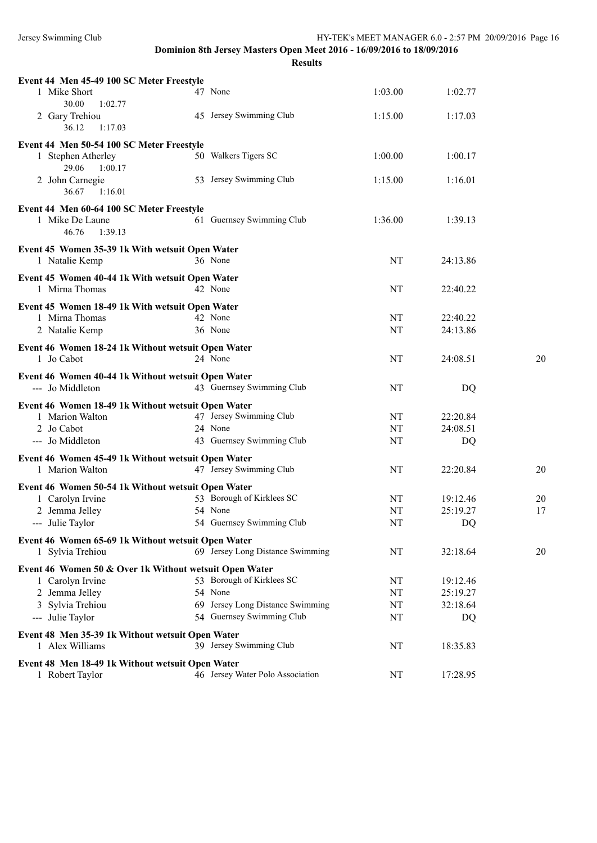| Event 44 Men 45-49 100 SC Meter Freestyle<br>1 Mike Short<br>30.00 | 47 None                                     | 1:03.00  | 1:02.77  |    |
|--------------------------------------------------------------------|---------------------------------------------|----------|----------|----|
| 1:02.77<br>2 Gary Trehiou<br>36.12<br>1:17.03                      | 45 Jersey Swimming Club                     | 1:15.00  | 1:17.03  |    |
| Event 44 Men 50-54 100 SC Meter Freestyle                          |                                             |          |          |    |
| 1 Stephen Atherley<br>29.06<br>1:00.17                             | 50 Walkers Tigers SC                        | 1:00.00  | 1:00.17  |    |
| 2 John Carnegie<br>1:16.01<br>36.67                                | 53 Jersey Swimming Club                     | 1:15.00  | 1:16.01  |    |
| Event 44 Men 60-64 100 SC Meter Freestyle                          |                                             |          |          |    |
| 1 Mike De Laune<br>46.76<br>1:39.13                                | 61 Guernsey Swimming Club                   | 1:36.00  | 1:39.13  |    |
| Event 45 Women 35-39 1k With wetsuit Open Water                    |                                             |          |          |    |
| 1 Natalie Kemp                                                     | 36 None                                     | NT       | 24:13.86 |    |
|                                                                    |                                             |          |          |    |
| Event 45 Women 40-44 1k With wetsuit Open Water                    |                                             |          |          |    |
| 1 Mirna Thomas                                                     | 42 None                                     | NT       | 22:40.22 |    |
| Event 45 Women 18-49 1k With wetsuit Open Water                    |                                             |          |          |    |
| 1 Mirna Thomas                                                     | 42 None                                     | NT       | 22:40.22 |    |
| 2 Natalie Kemp                                                     | 36 None                                     | NT       | 24:13.86 |    |
| Event 46 Women 18-24 1k Without wetsuit Open Water                 |                                             |          |          |    |
| 1 Jo Cabot                                                         | 24 None                                     | NT       | 24:08.51 | 20 |
| Event 46 Women 40-44 1k Without wetsuit Open Water                 |                                             |          |          |    |
| --- Jo Middleton                                                   | 43 Guernsey Swimming Club                   | NT       | DQ       |    |
| Event 46 Women 18-49 1k Without wetsuit Open Water                 |                                             |          |          |    |
| 1 Marion Walton                                                    | 47 Jersey Swimming Club                     | NT       | 22:20.84 |    |
| 2 Jo Cabot                                                         | 24 None                                     | NT       | 24:08.51 |    |
| --- Jo Middleton                                                   | 43 Guernsey Swimming Club                   | NT       | DQ       |    |
|                                                                    |                                             |          |          |    |
| Event 46 Women 45-49 1k Without wetsuit Open Water                 | 47 Jersey Swimming Club                     |          |          |    |
| 1 Marion Walton                                                    |                                             | NT       | 22:20.84 | 20 |
| Event 46 Women 50-54 1k Without wetsuit Open Water                 |                                             |          |          |    |
| 1 Carolyn Irvine                                                   | 53 Borough of Kirklees SC                   | NT       | 19:12.46 | 20 |
| 2 Jemma Jelley                                                     | 54 None                                     | NT       | 25:19.27 | 17 |
| --- Julie Taylor                                                   | 54 Guernsey Swimming Club                   | NT       | DQ       |    |
| Event 46 Women 65-69 1k Without wetsuit Open Water                 |                                             |          |          |    |
| 1 Sylvia Trehiou                                                   | 69 Jersey Long Distance Swimming            | NT       | 32:18.64 | 20 |
|                                                                    |                                             |          |          |    |
| Event 46 Women 50 & Over 1k Without wetsuit Open Water             | 53 Borough of Kirklees SC                   |          |          |    |
| 1 Carolyn Irvine                                                   |                                             | NT       | 19:12.46 |    |
| 2 Jemma Jelley                                                     | 54 None<br>69 Jersey Long Distance Swimming | NT       | 25:19.27 |    |
| 3 Sylvia Trehiou<br>--- Julie Taylor                               | 54 Guernsey Swimming Club                   | NT<br>NT | 32:18.64 |    |
|                                                                    |                                             |          | DQ       |    |
| Event 48 Men 35-39 1k Without wetsuit Open Water                   |                                             |          |          |    |
| 1 Alex Williams                                                    | 39 Jersey Swimming Club                     | NT       | 18:35.83 |    |
| Event 48 Men 18-49 1k Without wetsuit Open Water                   |                                             |          |          |    |
| 1 Robert Taylor                                                    | 46 Jersey Water Polo Association            | NT       | 17:28.95 |    |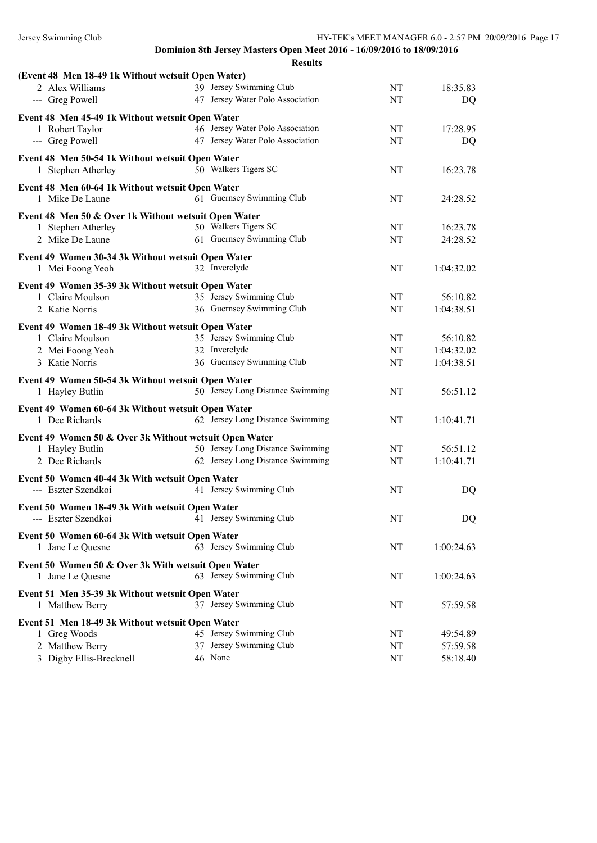| (Event 48 Men 18-49 1k Without wetsuit Open Water)     |                                  |           |            |
|--------------------------------------------------------|----------------------------------|-----------|------------|
| 2 Alex Williams                                        | 39 Jersey Swimming Club          | NT        | 18:35.83   |
| --- Greg Powell                                        | 47 Jersey Water Polo Association | NT        | DQ         |
| Event 48 Men 45-49 1k Without wetsuit Open Water       |                                  |           |            |
| 1 Robert Taylor                                        | 46 Jersey Water Polo Association | NT        | 17:28.95   |
| --- Greg Powell                                        | 47 Jersey Water Polo Association | NT        | DQ         |
|                                                        |                                  |           |            |
| Event 48 Men 50-54 1k Without wetsuit Open Water       |                                  |           |            |
| 1 Stephen Atherley                                     | 50 Walkers Tigers SC             | NT        | 16:23.78   |
| Event 48 Men 60-64 1k Without wetsuit Open Water       |                                  |           |            |
| 1 Mike De Laune                                        | 61 Guernsey Swimming Club        | NT        | 24:28.52   |
| Event 48 Men 50 & Over 1k Without wetsuit Open Water   |                                  |           |            |
| 1 Stephen Atherley                                     | 50 Walkers Tigers SC             | NT        | 16:23.78   |
| 2 Mike De Laune                                        | 61 Guernsey Swimming Club        | NT        | 24:28.52   |
|                                                        |                                  |           |            |
| Event 49 Women 30-34 3k Without wetsuit Open Water     |                                  |           |            |
| 1 Mei Foong Yeoh                                       | 32 Inverclyde                    | NT        | 1:04:32.02 |
| Event 49 Women 35-39 3k Without wetsuit Open Water     |                                  |           |            |
| 1 Claire Moulson                                       | 35 Jersey Swimming Club          | NT        | 56:10.82   |
| 2 Katie Norris                                         | 36 Guernsey Swimming Club        | NT        | 1:04:38.51 |
|                                                        |                                  |           |            |
| Event 49 Women 18-49 3k Without wetsuit Open Water     |                                  |           |            |
| 1 Claire Moulson                                       | 35 Jersey Swimming Club          | NT        | 56:10.82   |
| 2 Mei Foong Yeoh                                       | 32 Inverclyde                    | NT        | 1:04:32.02 |
| 3 Katie Norris                                         | 36 Guernsey Swimming Club        | NT        | 1:04:38.51 |
| Event 49 Women 50-54 3k Without wetsuit Open Water     |                                  |           |            |
| 1 Hayley Butlin                                        | 50 Jersey Long Distance Swimming | NT        | 56:51.12   |
|                                                        |                                  |           |            |
| Event 49 Women 60-64 3k Without wetsuit Open Water     |                                  |           |            |
| 1 Dee Richards                                         | 62 Jersey Long Distance Swimming | NT        | 1:10:41.71 |
| Event 49 Women 50 & Over 3k Without wetsuit Open Water |                                  |           |            |
| 1 Hayley Butlin                                        | 50 Jersey Long Distance Swimming | NT        | 56:51.12   |
| 2 Dee Richards                                         | 62 Jersey Long Distance Swimming | NT        | 1:10:41.71 |
|                                                        |                                  |           |            |
| Event 50 Women 40-44 3k With wetsuit Open Water        | 41 Jersey Swimming Club          | NT        |            |
| --- Eszter Szendkoi                                    |                                  |           | DQ         |
| Event 50 Women 18-49 3k With wetsuit Open Water        |                                  |           |            |
| --- Eszter Szendkoi 41 Jersey Swimming Club            |                                  | $\rm{NT}$ | DQ         |
| Event 50 Women 60-64 3k With wetsuit Open Water        |                                  |           |            |
| 1 Jane Le Quesne                                       | 63 Jersey Swimming Club          | NT        | 1:00:24.63 |
|                                                        |                                  |           |            |
| Event 50 Women 50 & Over 3k With wetsuit Open Water    |                                  |           |            |
| 1 Jane Le Quesne                                       | 63 Jersey Swimming Club          | NT        | 1:00:24.63 |
| Event 51 Men 35-39 3k Without wetsuit Open Water       |                                  |           |            |
| 1 Matthew Berry                                        | 37 Jersey Swimming Club          | NT        | 57:59.58   |
|                                                        |                                  |           |            |
| Event 51 Men 18-49 3k Without wetsuit Open Water       |                                  |           |            |
| 1 Greg Woods                                           | 45 Jersey Swimming Club          | NT        | 49:54.89   |
| 2 Matthew Berry                                        | 37 Jersey Swimming Club          | NT        | 57:59.58   |
| 3 Digby Ellis-Brecknell                                | 46 None                          | NT        | 58:18.40   |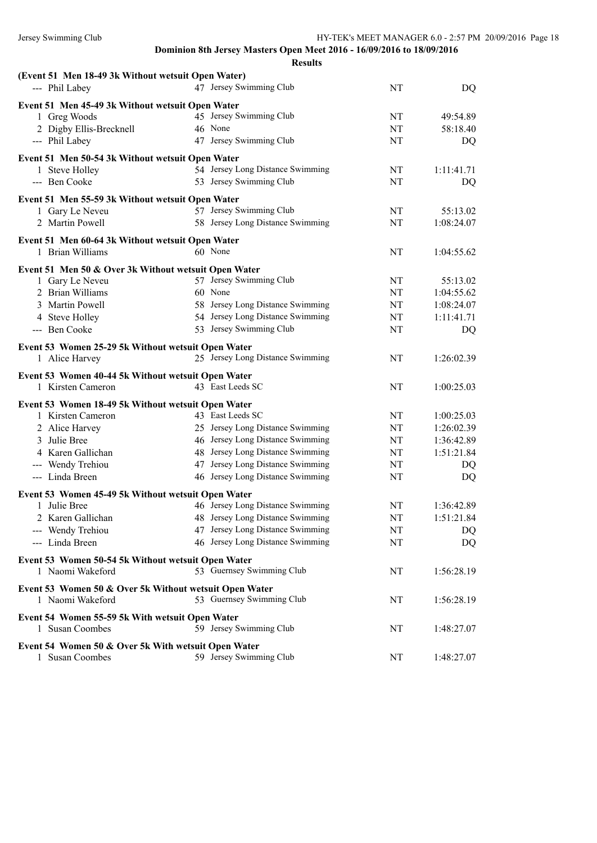| (Event 51 Men 18-49 3k Without wetsuit Open Water)     |                                  |    |            |  |
|--------------------------------------------------------|----------------------------------|----|------------|--|
| --- Phil Labey                                         | 47 Jersey Swimming Club          | NT | DQ         |  |
| Event 51 Men 45-49 3k Without wetsuit Open Water       |                                  |    |            |  |
| 1 Greg Woods                                           | 45 Jersey Swimming Club          | NT | 49:54.89   |  |
| 2 Digby Ellis-Brecknell                                | 46 None                          | NT | 58:18.40   |  |
| --- Phil Labey                                         | 47 Jersey Swimming Club          | NT | DQ         |  |
| Event 51 Men 50-54 3k Without wetsuit Open Water       |                                  |    |            |  |
| 1 Steve Holley                                         | 54 Jersey Long Distance Swimming | NT | 1:11:41.71 |  |
| --- Ben Cooke                                          | 53 Jersey Swimming Club          | NT | DQ         |  |
| Event 51 Men 55-59 3k Without wetsuit Open Water       |                                  |    |            |  |
| 1 Gary Le Neveu                                        | 57 Jersey Swimming Club          | NT | 55:13.02   |  |
| 2 Martin Powell                                        | 58 Jersey Long Distance Swimming | NT | 1:08:24.07 |  |
| Event 51 Men 60-64 3k Without wetsuit Open Water       |                                  |    |            |  |
| 1 Brian Williams                                       | 60 None                          | NT | 1:04:55.62 |  |
| Event 51 Men 50 & Over 3k Without wetsuit Open Water   |                                  |    |            |  |
| 1 Gary Le Neveu                                        | 57 Jersey Swimming Club          | NT | 55:13.02   |  |
| 2 Brian Williams                                       | 60 None                          | NT | 1:04:55.62 |  |
| 3 Martin Powell                                        | 58 Jersey Long Distance Swimming | NT | 1:08:24.07 |  |
| 4 Steve Holley                                         | 54 Jersey Long Distance Swimming | NT | 1:11:41.71 |  |
| --- Ben Cooke                                          | 53 Jersey Swimming Club          | NT | DQ         |  |
| Event 53 Women 25-29 5k Without wetsuit Open Water     |                                  |    |            |  |
| 1 Alice Harvey                                         | 25 Jersey Long Distance Swimming | NT | 1:26:02.39 |  |
| Event 53 Women 40-44 5k Without wetsuit Open Water     |                                  |    |            |  |
| 1 Kirsten Cameron                                      | 43 East Leeds SC                 | NT | 1:00:25.03 |  |
| Event 53 Women 18-49 5k Without wetsuit Open Water     |                                  |    |            |  |
| 1 Kirsten Cameron                                      | 43 East Leeds SC                 | NT | 1:00:25.03 |  |
| 2 Alice Harvey                                         | 25 Jersey Long Distance Swimming | NT | 1:26:02.39 |  |
| 3 Julie Bree                                           | 46 Jersey Long Distance Swimming | NT | 1:36:42.89 |  |
| 4 Karen Gallichan                                      | 48 Jersey Long Distance Swimming | NT | 1:51:21.84 |  |
| --- Wendy Trehiou                                      | 47 Jersey Long Distance Swimming | NT | DQ         |  |
| --- Linda Breen                                        | 46 Jersey Long Distance Swimming | NT | DQ         |  |
| Event 53 Women 45-49 5k Without wetsuit Open Water     |                                  |    |            |  |
| 1 Julie Bree                                           | 46 Jersey Long Distance Swimming | NT | 1:36:42.89 |  |
| 2 Karen Gallichan                                      | 48 Jersey Long Distance Swimming | NT | 1:51:21.84 |  |
| --- Wendy Trehiou                                      | 47 Jersey Long Distance Swimming | NT | DQ         |  |
| --- Linda Breen                                        | 46 Jersey Long Distance Swimming | NT | DQ         |  |
| Event 53 Women 50-54 5k Without wetsuit Open Water     |                                  |    |            |  |
| 1 Naomi Wakeford                                       | 53 Guernsey Swimming Club        | NT | 1:56:28.19 |  |
| Event 53 Women 50 & Over 5k Without wetsuit Open Water |                                  |    |            |  |
| 1 Naomi Wakeford                                       | 53 Guernsey Swimming Club        | NT | 1:56:28.19 |  |
| Event 54 Women 55-59 5k With wetsuit Open Water        |                                  |    |            |  |
| 1 Susan Coombes                                        | 59 Jersey Swimming Club          | NT | 1:48:27.07 |  |
| Event 54 Women 50 & Over 5k With wetsuit Open Water    |                                  |    |            |  |
| 1 Susan Coombes                                        | 59 Jersey Swimming Club          | NT | 1:48:27.07 |  |